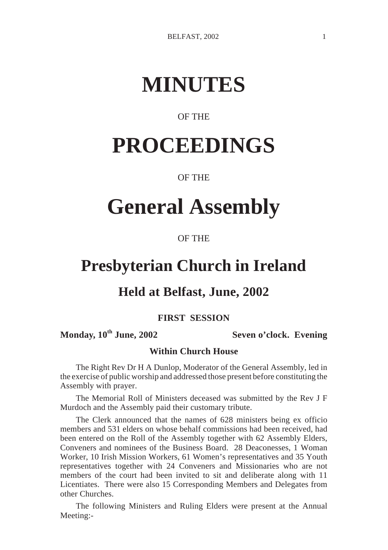# **MINUTES**

#### OF THE

## **PROCEEDINGS**

#### OF THE

# **General Assembly**

#### OF THE

### **Presbyterian Church in Ireland**

### **Held at Belfast, June, 2002**

#### **FIRST SESSION**

### **Monday, 10th June, 2002 Seven o'clock. Evening**

#### **Within Church House**

The Right Rev Dr H A Dunlop, Moderator of the General Assembly, led in the exercise of public worship and addressed those present before constituting the Assembly with prayer.

The Memorial Roll of Ministers deceased was submitted by the Rev J F Murdoch and the Assembly paid their customary tribute.

The Clerk announced that the names of 628 ministers being ex officio members and 531 elders on whose behalf commissions had been received, had been entered on the Roll of the Assembly together with 62 Assembly Elders, Conveners and nominees of the Business Board. 28 Deaconesses, 1 Woman Worker, 10 Irish Mission Workers, 61 Women's representatives and 35 Youth representatives together with 24 Conveners and Missionaries who are not members of the court had been invited to sit and deliberate along with 11 Licentiates. There were also 15 Corresponding Members and Delegates from other Churches.

The following Ministers and Ruling Elders were present at the Annual Meeting:-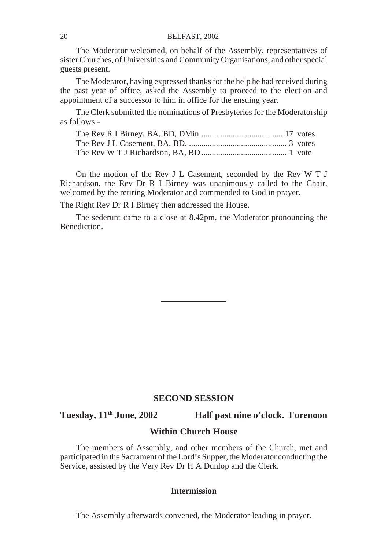The Moderator welcomed, on behalf of the Assembly, representatives of sister Churches, of Universities and Community Organisations, and other special guests present.

The Moderator, having expressed thanks for the help he had received during the past year of office, asked the Assembly to proceed to the election and appointment of a successor to him in office for the ensuing year.

The Clerk submitted the nominations of Presbyteries for the Moderatorship as follows:-

On the motion of the Rev J L Casement, seconded by the Rev W T J Richardson, the Rev Dr R I Birney was unanimously called to the Chair, welcomed by the retiring Moderator and commended to God in prayer.

The Right Rev Dr R I Birney then addressed the House.

The sederunt came to a close at 8.42pm, the Moderator pronouncing the Benediction.

#### **SECOND SESSION**

**Tuesday, 11th June, 2002 Half past nine o'clock. Forenoon**

#### **Within Church House**

The members of Assembly, and other members of the Church, met and participated in the Sacrament of the Lord's Supper, the Moderator conducting the Service, assisted by the Very Rev Dr H A Dunlop and the Clerk.

#### **Intermission**

The Assembly afterwards convened, the Moderator leading in prayer.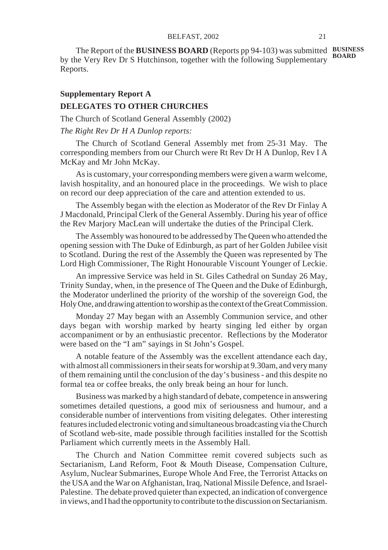The Report of the **BUSINESS BOARD** (Reports pp 94-103) was submitted **BUSINESS** by the Very Rev Dr S Hutchinson, together with the following Supplementary Reports. **BOARD**

#### **Supplementary Report A DELEGATES TO OTHER CHURCHES**

The Church of Scotland General Assembly (2002)

#### *The Right Rev Dr H A Dunlop reports:*

The Church of Scotland General Assembly met from 25-31 May. The corresponding members from our Church were Rt Rev Dr H A Dunlop, Rev I A McKay and Mr John McKay.

As is customary, your corresponding members were given a warm welcome, lavish hospitality, and an honoured place in the proceedings. We wish to place on record our deep appreciation of the care and attention extended to us.

The Assembly began with the election as Moderator of the Rev Dr Finlay A J Macdonald, Principal Clerk of the General Assembly. During his year of office the Rev Marjory MacLean will undertake the duties of the Principal Clerk.

The Assembly was honoured to be addressed by The Queen who attended the opening session with The Duke of Edinburgh, as part of her Golden Jubilee visit to Scotland. During the rest of the Assembly the Queen was represented by The Lord High Commissioner, The Right Honourable Viscount Younger of Leckie.

An impressive Service was held in St. Giles Cathedral on Sunday 26 May, Trinity Sunday, when, in the presence of The Queen and the Duke of Edinburgh, the Moderator underlined the priority of the worship of the sovereign God, the Holy One, and drawing attention to worship as the context of the Great Commission.

Monday 27 May began with an Assembly Communion service, and other days began with worship marked by hearty singing led either by organ accompaniment or by an enthusiastic precentor. Reflections by the Moderator were based on the "I am" sayings in St John's Gospel.

A notable feature of the Assembly was the excellent attendance each day, with almost all commissioners in their seats for worship at 9.30am, and very many of them remaining until the conclusion of the day's business - and this despite no formal tea or coffee breaks, the only break being an hour for lunch.

Business was marked by a high standard of debate, competence in answering sometimes detailed questions, a good mix of seriousness and humour, and a considerable number of interventions from visiting delegates. Other interesting features included electronic voting and simultaneous broadcasting via the Church of Scotland web-site, made possible through facilities installed for the Scottish Parliament which currently meets in the Assembly Hall.

The Church and Nation Committee remit covered subjects such as Sectarianism, Land Reform, Foot & Mouth Disease, Compensation Culture, Asylum, Nuclear Submarines, Europe Whole And Free, the Terrorist Attacks on the USA and the War on Afghanistan, Iraq, National Missile Defence, and Israel-Palestine. The debate proved quieter than expected, an indication of convergence in views, and I had the opportunity to contribute to the discussion on Sectarianism.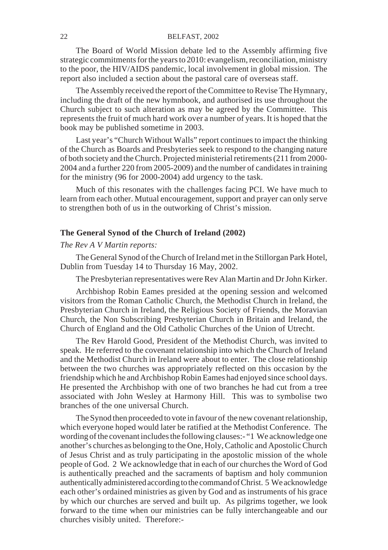The Board of World Mission debate led to the Assembly affirming five strategic commitments for the years to 2010: evangelism, reconciliation, ministry to the poor, the HIV/AIDS pandemic, local involvement in global mission. The report also included a section about the pastoral care of overseas staff.

The Assembly received the report of the Committee to Revise The Hymnary, including the draft of the new hymnbook, and authorised its use throughout the Church subject to such alteration as may be agreed by the Committee. This represents the fruit of much hard work over a number of years. It is hoped that the book may be published sometime in 2003.

Last year's "Church Without Walls" report continues to impact the thinking of the Church as Boards and Presbyteries seek to respond to the changing nature of both society and the Church. Projected ministerial retirements (211 from 2000- 2004 and a further 220 from 2005-2009) and the number of candidates in training for the ministry (96 for 2000-2004) add urgency to the task.

Much of this resonates with the challenges facing PCI. We have much to learn from each other. Mutual encouragement, support and prayer can only serve to strengthen both of us in the outworking of Christ's mission.

#### **The General Synod of the Church of Ireland (2002)**

#### *The Rev A V Martin reports:*

The General Synod of the Church of Ireland met in the Stillorgan Park Hotel, Dublin from Tuesday 14 to Thursday 16 May, 2002.

The Presbyterian representatives were Rev Alan Martin and Dr John Kirker.

Archbishop Robin Eames presided at the opening session and welcomed visitors from the Roman Catholic Church, the Methodist Church in Ireland, the Presbyterian Church in Ireland, the Religious Society of Friends, the Moravian Church, the Non Subscribing Presbyterian Church in Britain and Ireland, the Church of England and the Old Catholic Churches of the Union of Utrecht.

The Rev Harold Good, President of the Methodist Church, was invited to speak. He referred to the covenant relationship into which the Church of Ireland and the Methodist Church in Ireland were about to enter. The close relationship between the two churches was appropriately reflected on this occasion by the friendship which he and Archbishop Robin Eames had enjoyed since school days. He presented the Archbishop with one of two branches he had cut from a tree associated with John Wesley at Harmony Hill. This was to symbolise two branches of the one universal Church.

The Synod then proceeded to vote in favour of the new covenant relationship, which everyone hoped would later be ratified at the Methodist Conference. The wording of the covenant includes the following clauses:- "1We acknowledge one another's churches as belonging to the One, Holy, Catholic and Apostolic Church of Jesus Christ and as truly participating in the apostolic mission of the whole people of God. 2We acknowledge that in each of our churches the Word of God is authentically preached and the sacraments of baptism and holy communion authentically administered according to the command of Christ. 5 We acknowledge each other's ordained ministries as given by God and as instruments of his grace by which our churches are served and built up. As pilgrims together, we look forward to the time when our ministries can be fully interchangeable and our churches visibly united. Therefore:-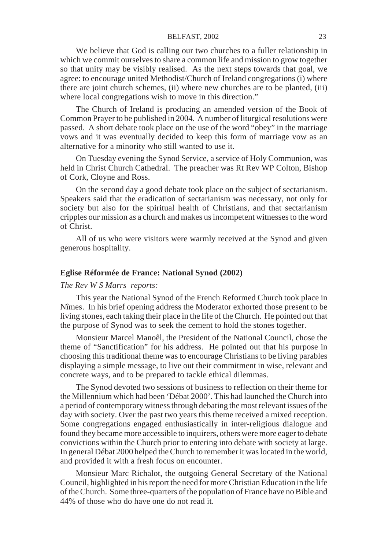#### BELFAST, 2002 23

We believe that God is calling our two churches to a fuller relationship in which we commit ourselves to share a common life and mission to grow together so that unity may be visibly realised. As the next steps towards that goal, we agree: to encourage united Methodist/Church of Ireland congregations (i) where there are joint church schemes, (ii) where new churches are to be planted, (iii) where local congregations wish to move in this direction."

The Church of Ireland is producing an amended version of the Book of Common Prayer to be published in 2004. A number of liturgical resolutions were passed. A short debate took place on the use of the word "obey" in the marriage vows and it was eventually decided to keep this form of marriage vow as an alternative for a minority who still wanted to use it.

On Tuesday evening the Synod Service, a service of Holy Communion, was held in Christ Church Cathedral. The preacher was Rt Rev WP Colton, Bishop of Cork, Cloyne and Ross.

On the second day a good debate took place on the subject of sectarianism. Speakers said that the eradication of sectarianism was necessary, not only for society but also for the spiritual health of Christians, and that sectarianism cripples our mission as a church and makes us incompetent witnesses to the word of Christ.

All of us who were visitors were warmly received at the Synod and given generous hospitality.

#### **Eglise Réformée de France: National Synod (2002)**

#### *The Rev W S Marrs reports:*

This year the National Synod of the French Reformed Church took place in Nîmes. In his brief opening address the Moderator exhorted those present to be living stones, each taking their place in the life of the Church. He pointed out that the purpose of Synod was to seek the cement to hold the stones together.

Monsieur Marcel Manoêl, the President of the National Council, chose the theme of "Sanctification" for his address. He pointed out that his purpose in choosing this traditional theme was to encourage Christians to be living parables displaying a simple message, to live out their commitment in wise, relevant and concrete ways, and to be prepared to tackle ethical dilemmas.

The Synod devoted two sessions of business to reflection on their theme for the Millennium which had been 'Débat 2000'. This had launched the Church into a period of contemporary witness through debating the most relevant issues of the day with society. Over the past two years this theme received a mixed reception. Some congregations engaged enthusiastically in inter-religious dialogue and found they became more accessible to inquirers, others were more eager to debate convictions within the Church prior to entering into debate with society at large. In general Débat 2000 helped the Church to remember it was located in the world, and provided it with a fresh focus on encounter.

Monsieur Marc Richalot, the outgoing General Secretary of the National Council, highlighted in his report the need for more Christian Education in the life of the Church. Some three-quarters of the population of France have no Bible and 44% of those who do have one do not read it.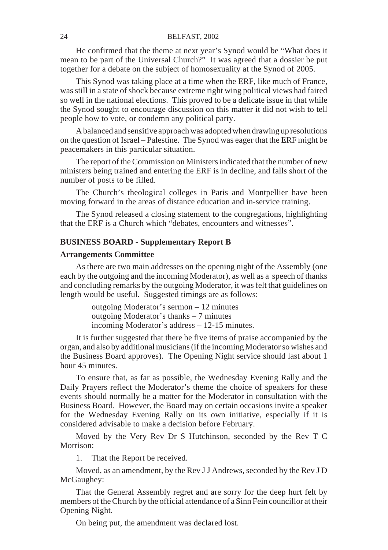He confirmed that the theme at next year's Synod would be "What does it mean to be part of the Universal Church?" It was agreed that a dossier be put together for a debate on the subject of homosexuality at the Synod of 2005.

This Synod was taking place at a time when the ERF, like much of France, was still in a state of shock because extreme right wing political views had faired so well in the national elections. This proved to be a delicate issue in that while the Synod sought to encourage discussion on this matter it did not wish to tell people how to vote, or condemn any political party.

A balanced and sensitive approach was adopted when drawing up resolutions on the question of Israel – Palestine. The Synod was eager that the ERF might be peacemakers in this particular situation.

The report of the Commission on Ministers indicated that the number of new ministers being trained and entering the ERF is in decline, and falls short of the number of posts to be filled.

The Church's theological colleges in Paris and Montpellier have been moving forward in the areas of distance education and in-service training.

The Synod released a closing statement to the congregations, highlighting that the ERF is a Church which "debates, encounters and witnesses".

#### **BUSINESS BOARD - Supplementary Report B**

#### **Arrangements Committee**

As there are two main addresses on the opening night of the Assembly (one each by the outgoing and the incoming Moderator), as well as a speech of thanks and concluding remarks by the outgoing Moderator, it was felt that guidelines on length would be useful. Suggested timings are as follows:

> outgoing Moderator's sermon – 12 minutes outgoing Moderator's thanks – 7 minutes incoming Moderator's address – 12-15 minutes.

It is further suggested that there be five items of praise accompanied by the organ, and also by additional musicians (if the incoming Moderator so wishes and the Business Board approves). The Opening Night service should last about 1 hour 45 minutes.

To ensure that, as far as possible, the Wednesday Evening Rally and the Daily Prayers reflect the Moderator's theme the choice of speakers for these events should normally be a matter for the Moderator in consultation with the Business Board. However, the Board may on certain occasions invite a speaker for the Wednesday Evening Rally on its own initiative, especially if it is considered advisable to make a decision before February.

Moved by the Very Rev Dr S Hutchinson, seconded by the Rev T C Morrison:

1. That the Report be received.

Moved, as an amendment, by the Rev J J Andrews, seconded by the Rev J D McGaughey:

That the General Assembly regret and are sorry for the deep hurt felt by members of the Church by the official attendance of a Sinn Fein councillor at their Opening Night.

On being put, the amendment was declared lost.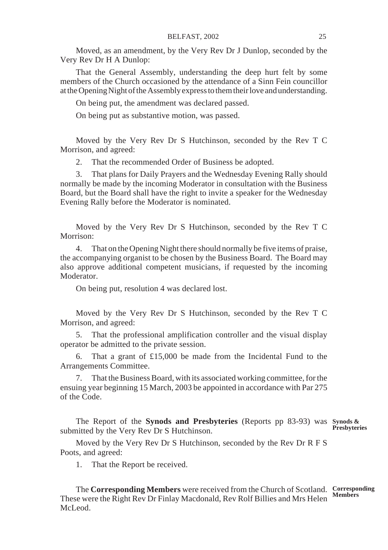Moved, as an amendment, by the Very Rev Dr J Dunlop, seconded by the Very Rev Dr H A Dunlop:

That the General Assembly, understanding the deep hurt felt by some members of the Church occasioned by the attendance of a Sinn Fein councillor at the Opening Night of the Assembly express to them their love and understanding.

On being put, the amendment was declared passed.

On being put as substantive motion, was passed.

Moved by the Very Rev Dr S Hutchinson, seconded by the Rev T C Morrison, and agreed:

2. That the recommended Order of Business be adopted.

3. That plans for Daily Prayers and the Wednesday Evening Rally should normally be made by the incoming Moderator in consultation with the Business Board, but the Board shall have the right to invite a speaker for the Wednesday Evening Rally before the Moderator is nominated.

Moved by the Very Rev Dr S Hutchinson, seconded by the Rev T C Morrison:

4. That on the Opening Night there should normally be five items of praise, the accompanying organist to be chosen by the Business Board. The Board may also approve additional competent musicians, if requested by the incoming Moderator.

On being put, resolution 4 was declared lost.

Moved by the Very Rev Dr S Hutchinson, seconded by the Rev T C Morrison, and agreed:

5. That the professional amplification controller and the visual display operator be admitted to the private session.

6. That a grant of £15,000 be made from the Incidental Fund to the Arrangements Committee.

7. That the Business Board, with its associated working committee, for the ensuing year beginning 15 March, 2003 be appointed in accordance with Par 275 of the Code.

The Report of the **Synods and Presbyteries** (Reports pp 83-93) was **Synods &** submitted by the Very Rev Dr S Hutchinson. **Presbyteries**

Moved by the Very Rev Dr S Hutchinson, seconded by the Rev Dr R F S Poots, and agreed:

1. That the Report be received.

The **Corresponding Members** were received from the Church of Scotland. **Corresponding** These were the Right Rev Dr Finlay Macdonald, Rev Rolf Billies and Mrs Helen McLeod. **Members**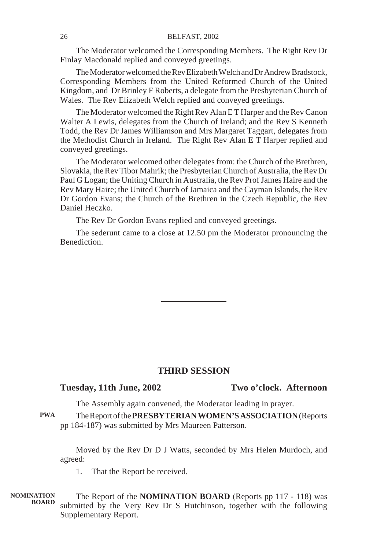The Moderator welcomed the Corresponding Members. The Right Rev Dr Finlay Macdonald replied and conveyed greetings.

The Moderator welcomed the Rev Elizabeth Welch and Dr Andrew Bradstock, Corresponding Members from the United Reformed Church of the United Kingdom, and Dr Brinley F Roberts, a delegate from the Presbyterian Church of Wales. The Rev Elizabeth Welch replied and conveyed greetings.

The Moderator welcomed the Right Rev Alan E T Harper and the Rev Canon Walter A Lewis, delegates from the Church of Ireland; and the Rev S Kenneth Todd, the Rev Dr James Williamson and Mrs Margaret Taggart, delegates from the Methodist Church in Ireland. The Right Rev Alan E T Harper replied and conveyed greetings.

The Moderator welcomed other delegates from: the Church of the Brethren, Slovakia, the Rev Tibor Mahrik; the Presbyterian Church of Australia, the Rev Dr Paul G Logan; the Uniting Church in Australia, the Rev Prof James Haire and the Rev Mary Haire; the United Church of Jamaica and the Cayman Islands, the Rev Dr Gordon Evans; the Church of the Brethren in the Czech Republic, the Rev Daniel Heczko.

The Rev Dr Gordon Evans replied and conveyed greetings.

The sederunt came to a close at 12.50 pm the Moderator pronouncing the Benediction.

#### **THIRD SESSION**

#### **Tuesday, 11th June, 2002 Two o'clock. Afternoon**

The Assembly again convened, the Moderator leading in prayer.

The Report of the **PRESBYTERIAN WOMEN'S ASSOCIATION** (Reports pp 184-187) was submitted by Mrs Maureen Patterson. **PWA**

Moved by the Rev Dr D J Watts, seconded by Mrs Helen Murdoch, and agreed:

1. That the Report be received.

#### The Report of the **NOMINATION BOARD** (Reports pp 117 - 118) was submitted by the Very Rev Dr S Hutchinson, together with the following Supplementary Report. **NOMINATION BOARD**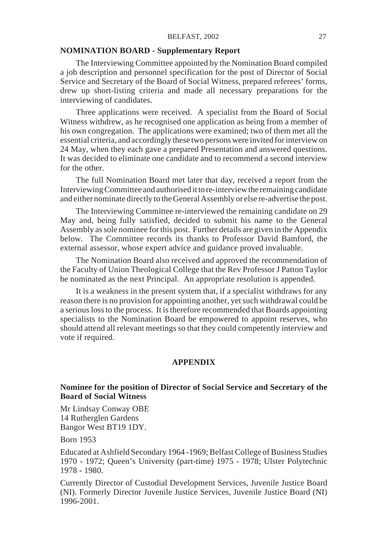#### BELFAST, 2002 27

#### **NOMINATION BOARD - Supplementary Report**

The Interviewing Committee appointed by the Nomination Board compiled a job description and personnel specification for the post of Director of Social Service and Secretary of the Board of Social Witness, prepared referees' forms, drew up short-listing criteria and made all necessary preparations for the interviewing of candidates.

Three applications were received. A specialist from the Board of Social Witness withdrew, as he recognised one application as being from a member of his own congregation. The applications were examined; two of them met all the essential criteria, and accordingly these two persons were invited for interview on 24 May, when they each gave a prepared Presentation and answered questions. It was decided to eliminate one candidate and to recommend a second interview for the other.

The full Nomination Board met later that day, received a report from the Interviewing Committee and authorised it to re-interview the remaining candidate and either nominate directly to the General Assembly or else re-advertise the post.

The Interviewing Committee re-interviewed the remaining candidate on 29 May and, being fully satisfied, decided to submit his name to the General Assembly as sole nominee for this post. Further details are given in the Appendix below. The Committee records its thanks to Professor David Bamford, the external assessor, whose expert advice and guidance proved invaluable.

The Nomination Board also received and approved the recommendation of the Faculty of Union Theological College that the Rev Professor J Patton Taylor be nominated as the next Principal. An appropriate resolution is appended.

It is a weakness in the present system that, if a specialist withdraws for any reason there is no provision for appointing another, yet such withdrawal could be a serious loss to the process. It is therefore recommended that Boards appointing specialists to the Nomination Board be empowered to appoint reserves, who should attend all relevant meetings so that they could competently interview and vote if required.

#### **APPENDIX**

#### **Nominee for the position of Director of Social Service and Secretary of the Board of Social Witness**

Mr Lindsay Conway OBE 14 Rutherglen Gardens Bangor West BT19 1DY.

Born 1953

Educated at Ashfield Secondary 1964 -1969; Belfast College of Business Studies 1970 - 1972; Queen's University (part-time) 1975 - 1978; Ulster Polytechnic 1978 - 1980.

Currently Director of Custodial Development Services, Juvenile Justice Board (NI). Formerly Director Juvenile Justice Services, Juvenile Justice Board (NI) 1996-2001.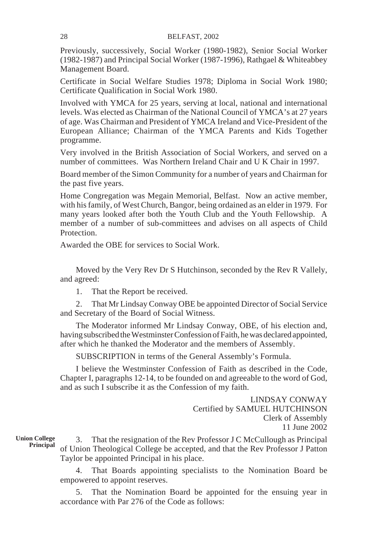Previously, successively, Social Worker (1980-1982), Senior Social Worker (1982-1987) and Principal Social Worker (1987-1996), Rathgael & Whiteabbey Management Board.

Certificate in Social Welfare Studies 1978; Diploma in Social Work 1980; Certificate Qualification in Social Work 1980.

Involved with YMCA for 25 years, serving at local, national and international levels. Was elected as Chairman of the National Council of YMCA's at 27 years of age. Was Chairman and President of YMCA Ireland and Vice-President of the European Alliance; Chairman of the YMCA Parents and Kids Together programme.

Very involved in the British Association of Social Workers, and served on a number of committees. Was Northern Ireland Chair and U K Chair in 1997.

Board member of the Simon Community for a number of years and Chairman for the past five years.

Home Congregation was Megain Memorial, Belfast. Now an active member, with his family, of West Church, Bangor, being ordained as an elder in 1979. For many years looked after both the Youth Club and the Youth Fellowship. A member of a number of sub-committees and advises on all aspects of Child Protection.

Awarded the OBE for services to Social Work.

Moved by the Very Rev Dr S Hutchinson, seconded by the Rev R Vallely, and agreed:

1. That the Report be received.

2. That Mr Lindsay Conway OBE be appointed Director of Social Service and Secretary of the Board of Social Witness.

The Moderator informed Mr Lindsay Conway, OBE, of his election and, having subscribed the Westminster Confession of Faith, he was declared appointed, after which he thanked the Moderator and the members of Assembly.

SUBSCRIPTION in terms of the General Assembly's Formula.

I believe the Westminster Confession of Faith as described in the Code, Chapter I, paragraphs 12-14, to be founded on and agreeable to the word of God, and as such I subscribe it as the Confession of my faith.

> LINDSAY CONWAY Certified by SAMUEL HUTCHINSON Clerk of Assembly 11 June 2002

**Union College Principal**

3. That the resignation of the Rev Professor J C McCullough as Principal of Union Theological College be accepted, and that the Rev Professor J Patton Taylor be appointed Principal in his place.

4. That Boards appointing specialists to the Nomination Board be empowered to appoint reserves.

5. That the Nomination Board be appointed for the ensuing year in accordance with Par 276 of the Code as follows: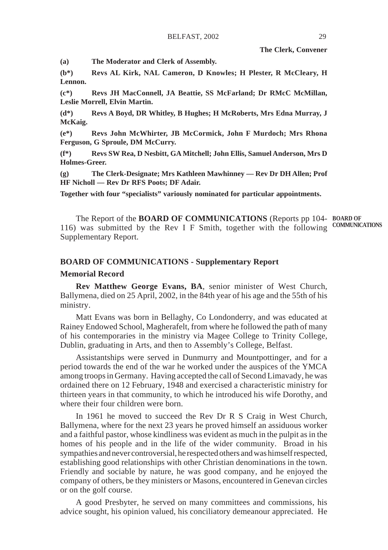**The Clerk, Convener**

**(a) The Moderator and Clerk of Assembly.**

**(b\*) Revs AL Kirk, NAL Cameron, D Knowles; H Plester, R McCleary, H Lennon.**

**(c\*) Revs JH MacConnell, JA Beattie, SS McFarland; Dr RMcC McMillan, Leslie Morrell, Elvin Martin.**

**(d\*) Revs A Boyd, DR Whitley, B Hughes; H McRoberts, Mrs Edna Murray, J McKaig.**

**(e\*) Revs John McWhirter, JB McCormick, John F Murdoch; Mrs Rhona Ferguson, G Sproule, DM McCurry.**

**(f\*) Revs SW Rea, D Nesbitt, GA Mitchell; John Ellis, Samuel Anderson, Mrs D Holmes-Greer.**

**(g) The Clerk-Designate; Mrs Kathleen Mawhinney — Rev Dr DH Allen; Prof HF Nicholl — Rev Dr RFS Poots; DF Adair.**

**Together with four "specialists" variously nominated for particular appointments.**

The Report of the **BOARD OF COMMUNICATIONS** (Reports pp 104- **BOARD OF** 116) was submitted by the Rev I F Smith, together with the following **COMMUNICATIONS**Supplementary Report.

#### **BOARD OF COMMUNICATIONS - Supplementary Report**

#### **Memorial Record**

**Rev Matthew George Evans, BA**, senior minister of West Church, Ballymena, died on 25 April, 2002, in the 84th year of his age and the 55th of his ministry.

Matt Evans was born in Bellaghy, Co Londonderry, and was educated at Rainey Endowed School, Magherafelt, from where he followed the path of many of his contemporaries in the ministry via Magee College to Trinity College, Dublin, graduating in Arts, and then to Assembly's College, Belfast.

Assistantships were served in Dunmurry and Mountpottinger, and for a period towards the end of the war he worked under the auspices of the YMCA among troops in Germany. Having accepted the call of Second Limavady, he was ordained there on 12 February, 1948 and exercised a characteristic ministry for thirteen years in that community, to which he introduced his wife Dorothy, and where their four children were born.

In 1961 he moved to succeed the Rev Dr R S Craig in West Church, Ballymena, where for the next 23 years he proved himself an assiduous worker and a faithful pastor, whose kindliness was evident as much in the pulpit as in the homes of his people and in the life of the wider community. Broad in his sympathies and never controversial, he respected others and was himself respected, establishing good relationships with other Christian denominations in the town. Friendly and sociable by nature, he was good company, and he enjoyed the company of others, be they ministers or Masons, encountered in Genevan circles or on the golf course.

A good Presbyter, he served on many committees and commissions, his advice sought, his opinion valued, his conciliatory demeanour appreciated. He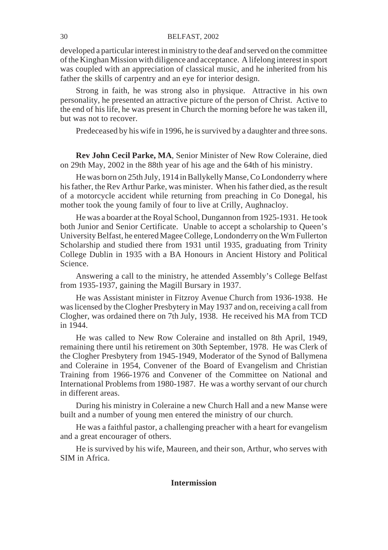developed a particular interest in ministry to the deaf and served on the committee of the Kinghan Mission with diligence and acceptance. A lifelong interest in sport was coupled with an appreciation of classical music, and he inherited from his father the skills of carpentry and an eye for interior design.

Strong in faith, he was strong also in physique. Attractive in his own personality, he presented an attractive picture of the person of Christ. Active to the end of his life, he was present in Church the morning before he was taken ill, but was not to recover.

Predeceased by his wife in 1996, he is survived by a daughter and three sons.

**Rev John Cecil Parke, MA**, Senior Minister of New Row Coleraine, died on 29th May, 2002 in the 88th year of his age and the 64th of his ministry.

He was born on 25th July, 1914 in Ballykelly Manse, Co Londonderry where his father, the Rev Arthur Parke, was minister. When his father died, as the result of a motorcycle accident while returning from preaching in Co Donegal, his mother took the young family of four to live at Crilly, Aughnacloy.

He was a boarder at the Royal School, Dungannon from 1925-1931. He took both Junior and Senior Certificate. Unable to accept a scholarship to Queen's University Belfast, he entered Magee College, Londonderry on the Wm Fullerton Scholarship and studied there from 1931 until 1935, graduating from Trinity College Dublin in 1935 with a BA Honours in Ancient History and Political Science.

Answering a call to the ministry, he attended Assembly's College Belfast from 1935-1937, gaining the Magill Bursary in 1937.

He was Assistant minister in Fitzroy Avenue Church from 1936-1938. He was licensed by the Clogher Presbytery in May 1937 and on, receiving a call from Clogher, was ordained there on 7th July, 1938. He received his MA from TCD in 1944.

He was called to New Row Coleraine and installed on 8th April, 1949, remaining there until his retirement on 30th September, 1978. He was Clerk of the Clogher Presbytery from 1945-1949, Moderator of the Synod of Ballymena and Coleraine in 1954, Convener of the Board of Evangelism and Christian Training from 1966-1976 and Convener of the Committee on National and International Problems from 1980-1987. He was a worthy servant of our church in different areas.

During his ministry in Coleraine a new Church Hall and a new Manse were built and a number of young men entered the ministry of our church.

He was a faithful pastor, a challenging preacher with a heart for evangelism and a great encourager of others.

He is survived by his wife, Maureen, and their son, Arthur, who serves with SIM in Africa.

#### **Intermission**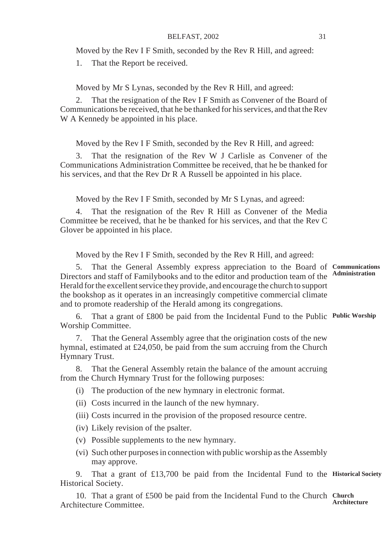Moved by the Rev I F Smith, seconded by the Rev R Hill, and agreed:

1. That the Report be received.

Moved by Mr S Lynas, seconded by the Rev R Hill, and agreed:

2. That the resignation of the Rev I F Smith as Convener of the Board of Communications be received, that he be thanked for his services, and that the Rev W A Kennedy be appointed in his place.

Moved by the Rev I F Smith, seconded by the Rev R Hill, and agreed:

3. That the resignation of the Rev W J Carlisle as Convener of the Communications Administration Committee be received, that he be thanked for his services, and that the Rev Dr R A Russell be appointed in his place.

Moved by the Rev I F Smith, seconded by Mr S Lynas, and agreed:

4. That the resignation of the Rev R Hill as Convener of the Media Committee be received, that he be thanked for his services, and that the Rev C Glover be appointed in his place.

Moved by the Rev I F Smith, seconded by the Rev R Hill, and agreed:

5. That the General Assembly express appreciation to the Board of **Communications** Directors and staff of Familybooks and to the editor and production team of the Herald for the excellent service they provide, and encourage the church to support the bookshop as it operates in an increasingly competitive commercial climate and to promote readership of the Herald among its congregations. **Administration**

6. That a grant of £800 be paid from the Incidental Fund to the Public **Public Worship** Worship Committee.

7. That the General Assembly agree that the origination costs of the new hymnal, estimated at £24,050, be paid from the sum accruing from the Church Hymnary Trust.

8. That the General Assembly retain the balance of the amount accruing from the Church Hymnary Trust for the following purposes:

- (i) The production of the new hymnary in electronic format.
- (ii) Costs incurred in the launch of the new hymnary.
- (iii) Costs incurred in the provision of the proposed resource centre.
- (iv) Likely revision of the psalter.
- (v) Possible supplements to the new hymnary.
- (vi) Such other purposes in connection with public worship as the Assembly may approve.

9. That a grant of £13,700 be paid from the Incidental Fund to the **Historical Society** Historical Society.

10. That a grant of £500 be paid from the Incidental Fund to the Church **Church** Architecture Committee. **Architecture**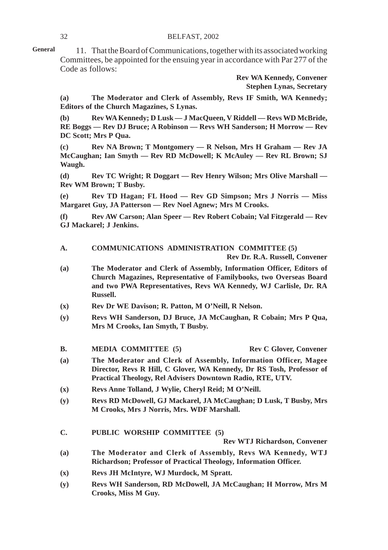11. That the Board of Communications, together with its associated working Committees, be appointed for the ensuing year in accordance with Par 277 of the Code as follows: **General**

> **Rev WA Kennedy, Convener Stephen Lynas, Secretary**

**(a) The Moderator and Clerk of Assembly, Revs IF Smith, WA Kennedy; Editors of the Church Magazines, S Lynas.**

**(b) Rev WA Kennedy; D Lusk — J MacQueen, V Riddell — Revs WD McBride, RE Boggs — Rev DJ Bruce; A Robinson — Revs WH Sanderson; H Morrow — Rev DC Scott; Mrs P Qua.**

**(c) Rev NA Brown; T Montgomery — R Nelson, Mrs H Graham — Rev JA McCaughan; Ian Smyth — Rev RD McDowell; K McAuley — Rev RL Brown; SJ Waugh.**

**(d) Rev TC Wright; R Doggart — Rev Henry Wilson; Mrs Olive Marshall — Rev WM Brown; T Busby.**

**(e) Rev TD Hagan; FL Hood — Rev GD Simpson; Mrs J Norris — Miss Margaret Guy, JA Patterson — Rev Noel Agnew; Mrs M Crooks.**

**(f) Rev AW Carson; Alan Speer — Rev Robert Cobain; Val Fitzgerald — Rev GJ Mackarel; J Jenkins.**

#### **A. COMMUNICATIONS ADMINISTRATION COMMITTEE (5) Rev Dr. R.A. Russell, Convener**

- **(a) The Moderator and Clerk of Assembly, Information Officer, Editors of Church Magazines, Representative of Familybooks, two Overseas Board and two PWA Representatives, Revs WA Kennedy, WJ Carlisle, Dr. RA Russell.**
- **(x) Rev Dr WE Davison; R. Patton, M O'Neill, R Nelson.**
- **(y) Revs WH Sanderson, DJ Bruce, JA McCaughan, R Cobain; Mrs P Qua, Mrs M Crooks, Ian Smyth, T Busby.**
- **B.** MEDIA COMMITTEE (5) Rev C Glover, Convener

- **(a) The Moderator and Clerk of Assembly, Information Officer, Magee Director, Revs R Hill, C Glover, WA Kennedy, Dr RS Tosh, Professor of Practical Theology, Rel Advisers Downtown Radio, RTE, UTV.**
- **(x) Revs Anne Tolland, J Wylie, Cheryl Reid; M O'Neill.**
- **(y) Revs RD McDowell, GJ Mackarel, JA McCaughan; D Lusk, T Busby, Mrs M Crooks, Mrs J Norris, Mrs. WDF Marshall.**
- **C. PUBLIC WORSHIP COMMITTEE (5)**

**Rev WTJ Richardson, Convener**

- **(a) The Moderator and Clerk of Assembly, Revs WA Kennedy, WTJ Richardson; Professor of Practical Theology, Information Officer.**
- **(x) Revs JH McIntyre, WJ Murdock, M Spratt.**
- **(y) Revs WH Sanderson, RD McDowell, JA McCaughan; H Morrow, Mrs M Crooks, Miss M Guy.**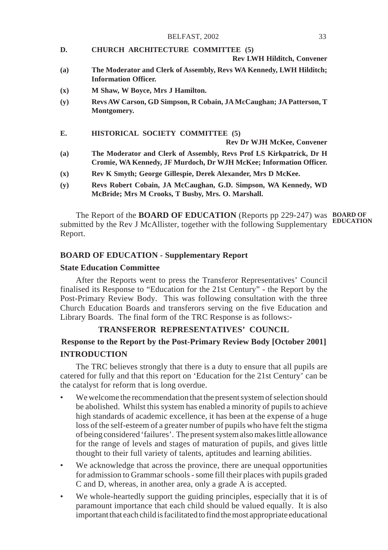**D. CHURCH ARCHITECTURE COMMITTEE (5)**

```
Rev LWH Hilditch, Convener
```
- **(a) The Moderator and Clerk of Assembly, Revs WA Kennedy, LWH Hilditch; Information Officer.**
- **(x) M Shaw, W Boyce, Mrs J Hamilton.**
- **(y) Revs AW Carson, GD Simpson, R Cobain, JA McCaughan; JA Patterson, T Montgomery.**
- **E. HISTORICAL SOCIETY COMMITTEE (5)**

**Rev Dr WJH McKee, Convener**

- **(a) The Moderator and Clerk of Assembly, Revs Prof LS Kirkpatrick, Dr H Cromie, WA Kennedy, JF Murdoch, Dr WJH McKee; Information Officer.**
- **(x) Rev K Smyth; George Gillespie, Derek Alexander, Mrs D McKee.**
- **(y) Revs Robert Cobain, JA McCaughan, G.D. Simpson, WA Kennedy, WD McBride; Mrs M Crooks, T Busby, Mrs. O. Marshall.**

The Report of the **BOARD OF EDUCATION** (Reports pp 229-247) was **BOARD OF** submitted by the Rev J McAllister, together with the following Supplementary Report. **EDUCATION**

#### **BOARD OF EDUCATION - Supplementary Report**

#### **State Education Committee**

After the Reports went to press the Transferor Representatives' Council finalised its Response to "Education for the 21st Century" - the Report by the Post-Primary Review Body. This was following consultation with the three Church Education Boards and transferors serving on the five Education and Library Boards. The final form of the TRC Response is as follows:-

#### **TRANSFEROR REPRESENTATIVES' COUNCIL**

#### **Response to the Report by the Post-Primary Review Body [October 2001] INTRODUCTION**

The TRC believes strongly that there is a duty to ensure that all pupils are catered for fully and that this report on 'Education for the 21st Century' can be the catalyst for reform that is long overdue.

- We welcome the recommendation that the present system of selection should be abolished. Whilst this system has enabled a minority of pupils to achieve high standards of academic excellence, it has been at the expense of a huge loss of the self-esteem of a greater number of pupils who have felt the stigma of being considered 'failures'. The present system also makes little allowance for the range of levels and stages of maturation of pupils, and gives little thought to their full variety of talents, aptitudes and learning abilities.
- We acknowledge that across the province, there are unequal opportunities for admission to Grammar schools - some fill their places with pupils graded C and D, whereas, in another area, only a grade A is accepted.
- We whole-heartedly support the guiding principles, especially that it is of paramount importance that each child should be valued equally. It is also important that each child is facilitated to find the most appropriate educational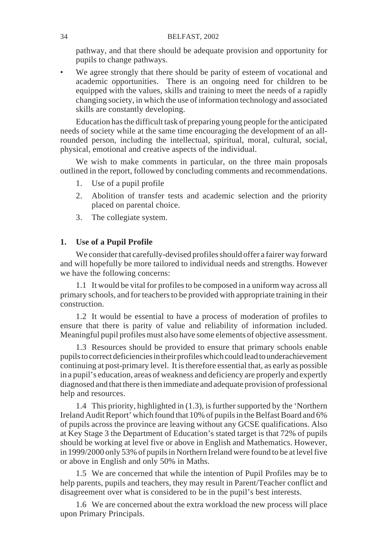pathway, and that there should be adequate provision and opportunity for pupils to change pathways.

• We agree strongly that there should be parity of esteem of vocational and academic opportunities. There is an ongoing need for children to be equipped with the values, skills and training to meet the needs of a rapidly changing society, in which the use of information technology and associated skills are constantly developing.

Education has the difficult task of preparing young people for the anticipated needs of society while at the same time encouraging the development of an allrounded person, including the intellectual, spiritual, moral, cultural, social, physical, emotional and creative aspects of the individual.

We wish to make comments in particular, on the three main proposals outlined in the report, followed by concluding comments and recommendations.

- 1. Use of a pupil profile
- 2. Abolition of transfer tests and academic selection and the priority placed on parental choice.
- 3. The collegiate system.

#### **1. Use of a Pupil Profile**

We consider that carefully-devised profiles should offer a fairer way forward and will hopefully be more tailored to individual needs and strengths. However we have the following concerns:

1.1 It would be vital for profiles to be composed in a uniform way across all primary schools, and for teachers to be provided with appropriate training in their construction.

1.2 It would be essential to have a process of moderation of profiles to ensure that there is parity of value and reliability of information included. Meaningful pupil profiles must also have some elements of objective assessment.

1.3 Resources should be provided to ensure that primary schools enable pupils to correct deficiencies in their profiles which could lead to underachievement continuing at post-primary level. It is therefore essential that, as early as possible in a pupil's education, areas of weakness and deficiency are properly and expertly diagnosed and that there is then immediate and adequate provision of professional help and resources.

1.4 This priority, highlighted in (1.3), is further supported by the 'Northern Ireland Audit Report' which found that 10% of pupils in the Belfast Board and 6% of pupils across the province are leaving without any GCSE qualifications. Also at Key Stage 3 the Department of Education's stated target is that 72% of pupils should be working at level five or above in English and Mathematics. However, in 1999/2000 only 53% of pupils in Northern Ireland were found to be at level five or above in English and only 50% in Maths.

1.5 We are concerned that while the intention of Pupil Profiles may be to help parents, pupils and teachers, they may result in Parent/Teacher conflict and disagreement over what is considered to be in the pupil's best interests.

1.6 We are concerned about the extra workload the new process will place upon Primary Principals.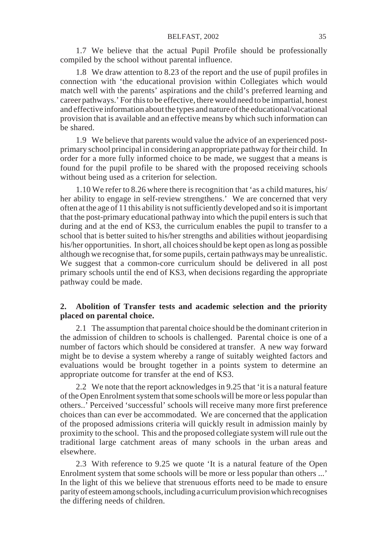1.7 We believe that the actual Pupil Profile should be professionally compiled by the school without parental influence.

1.8 We draw attention to 8.23 of the report and the use of pupil profiles in connection with 'the educational provision within Collegiates which would match well with the parents' aspirations and the child's preferred learning and career pathways.' For this to be effective, there would need to be impartial, honest and effective information about the types and nature of the educational/vocational provision that is available and an effective means by which such information can be shared.

1.9 We believe that parents would value the advice of an experienced postprimary school principal in considering an appropriate pathway for their child. In order for a more fully informed choice to be made, we suggest that a means is found for the pupil profile to be shared with the proposed receiving schools without being used as a criterion for selection.

1.10 We refer to 8.26 where there is recognition that 'as a child matures, his/ her ability to engage in self-review strengthens.' We are concerned that very often at the age of 11 this ability is not sufficiently developed and so it is important that the post-primary educational pathway into which the pupil enters is such that during and at the end of KS3, the curriculum enables the pupil to transfer to a school that is better suited to his/her strengths and abilities without jeopardising his/her opportunities. In short, all choices should be kept open as long as possible although we recognise that, for some pupils, certain pathways may be unrealistic. We suggest that a common-core curriculum should be delivered in all post primary schools until the end of KS3, when decisions regarding the appropriate pathway could be made.

#### **2. Abolition of Transfer tests and academic selection and the priority placed on parental choice.**

2.1 The assumption that parental choice should be the dominant criterion in the admission of children to schools is challenged. Parental choice is one of a number of factors which should be considered at transfer. A new way forward might be to devise a system whereby a range of suitably weighted factors and evaluations would be brought together in a points system to determine an appropriate outcome for transfer at the end of KS3.

2.2 We note that the report acknowledges in 9.25 that 'it is a natural feature of the Open Enrolment system that some schools will be more or less popular than others..' Perceived 'successful' schools will receive many more first preference choices than can ever be accommodated. We are concerned that the application of the proposed admissions criteria will quickly result in admission mainly by proximity to the school. This and the proposed collegiate system will rule out the traditional large catchment areas of many schools in the urban areas and elsewhere.

2.3 With reference to 9.25 we quote 'It is a natural feature of the Open Enrolment system that some schools will be more or less popular than others ...' In the light of this we believe that strenuous efforts need to be made to ensure parity of esteem among schools, including a curriculum provision which recognises the differing needs of children.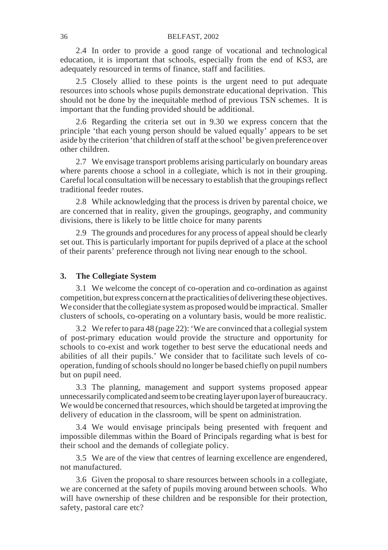2.4 In order to provide a good range of vocational and technological education, it is important that schools, especially from the end of KS3, are adequately resourced in terms of finance, staff and facilities.

2.5 Closely allied to these points is the urgent need to put adequate resources into schools whose pupils demonstrate educational deprivation. This should not be done by the inequitable method of previous TSN schemes. It is important that the funding provided should be additional.

2.6 Regarding the criteria set out in 9.30 we express concern that the principle 'that each young person should be valued equally' appears to be set aside by the criterion 'that children of staff at the school' be given preference over other children.

2.7 We envisage transport problems arising particularly on boundary areas where parents choose a school in a collegiate, which is not in their grouping. Careful local consultation will be necessary to establish that the groupings reflect traditional feeder routes.

2.8 While acknowledging that the process is driven by parental choice, we are concerned that in reality, given the groupings, geography, and community divisions, there is likely to be little choice for many parents

2.9 The grounds and procedures for any process of appeal should be clearly set out. This is particularly important for pupils deprived of a place at the school of their parents' preference through not living near enough to the school.

#### **3. The Collegiate System**

3.1 We welcome the concept of co-operation and co-ordination as against competition, but express concern at the practicalities of delivering these objectives. We consider that the collegiate system as proposed would be impractical. Smaller clusters of schools, co-operating on a voluntary basis, would be more realistic.

3.2 We refer to para 48 (page 22): 'We are convinced that a collegial system of post-primary education would provide the structure and opportunity for schools to co-exist and work together to best serve the educational needs and abilities of all their pupils.' We consider that to facilitate such levels of cooperation, funding of schools should no longer be based chiefly on pupil numbers but on pupil need.

3.3 The planning, management and support systems proposed appear unnecessarily complicated and seem to be creating layer upon layer of bureaucracy. We would be concerned that resources, which should be targeted at improving the delivery of education in the classroom, will be spent on administration.

3.4 We would envisage principals being presented with frequent and impossible dilemmas within the Board of Principals regarding what is best for their school and the demands of collegiate policy.

3.5 We are of the view that centres of learning excellence are engendered, not manufactured.

3.6 Given the proposal to share resources between schools in a collegiate, we are concerned at the safety of pupils moving around between schools. Who will have ownership of these children and be responsible for their protection, safety, pastoral care etc?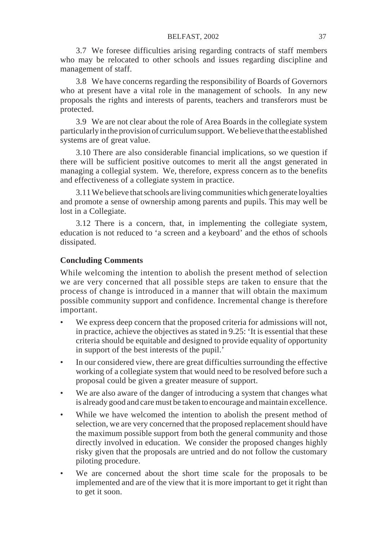3.7 We foresee difficulties arising regarding contracts of staff members who may be relocated to other schools and issues regarding discipline and management of staff.

3.8 We have concerns regarding the responsibility of Boards of Governors who at present have a vital role in the management of schools. In any new proposals the rights and interests of parents, teachers and transferors must be protected.

3.9 We are not clear about the role of Area Boards in the collegiate system particularly in the provision of curriculum support. We believe that the established systems are of great value.

3.10 There are also considerable financial implications, so we question if there will be sufficient positive outcomes to merit all the angst generated in managing a collegial system. We, therefore, express concern as to the benefits and effectiveness of a collegiate system in practice.

3.11 We believe that schools are living communities which generate loyalties and promote a sense of ownership among parents and pupils. This may well be lost in a Collegiate.

3.12 There is a concern, that, in implementing the collegiate system, education is not reduced to 'a screen and a keyboard' and the ethos of schools dissipated.

## **Concluding Comments**

While welcoming the intention to abolish the present method of selection we are very concerned that all possible steps are taken to ensure that the process of change is introduced in a manner that will obtain the maximum possible community support and confidence. Incremental change is therefore important.

- We express deep concern that the proposed criteria for admissions will not, in practice, achieve the objectives as stated in 9.25: 'It is essential that these criteria should be equitable and designed to provide equality of opportunity in support of the best interests of the pupil.'
- In our considered view, there are great difficulties surrounding the effective working of a collegiate system that would need to be resolved before such a proposal could be given a greater measure of support.
- We are also aware of the danger of introducing a system that changes what is already good and care must be taken to encourage and maintain excellence.
- While we have welcomed the intention to abolish the present method of selection, we are very concerned that the proposed replacement should have the maximum possible support from both the general community and those directly involved in education. We consider the proposed changes highly risky given that the proposals are untried and do not follow the customary piloting procedure.
- We are concerned about the short time scale for the proposals to be implemented and are of the view that it is more important to get it right than to get it soon.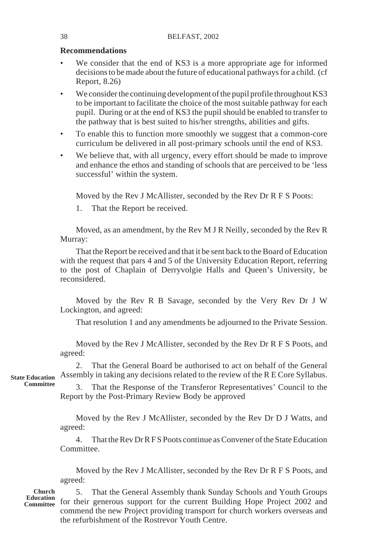# **Recommendations**

- We consider that the end of KS3 is a more appropriate age for informed decisions to be made about the future of educational pathways for a child. (cf Report, 8.26)
- We consider the continuing development of the pupil profile throughout KS3 to be important to facilitate the choice of the most suitable pathway for each pupil. During or at the end of KS3 the pupil should be enabled to transfer to the pathway that is best suited to his/her strengths, abilities and gifts.
- To enable this to function more smoothly we suggest that a common-core curriculum be delivered in all post-primary schools until the end of KS3.
- We believe that, with all urgency, every effort should be made to improve and enhance the ethos and standing of schools that are perceived to be 'less successful' within the system.

Moved by the Rev J McAllister, seconded by the Rev Dr R F S Poots:

1. That the Report be received.

Moved, as an amendment, by the Rev M J R Neilly, seconded by the Rev R Murray:

That the Report be received and that it be sent back to the Board of Education with the request that pars 4 and 5 of the University Education Report, referring to the post of Chaplain of Derryvolgie Halls and Queen's University, be reconsidered.

Moved by the Rev R B Savage, seconded by the Very Rev Dr J W Lockington, and agreed:

That resolution 1 and any amendments be adjourned to the Private Session.

Moved by the Rev J McAllister, seconded by the Rev Dr R F S Poots, and agreed:

2. That the General Board be authorised to act on behalf of the General Assembly in taking any decisions related to the review of the R E Core Syllabus. **State Education**

**Committee**

3. That the Response of the Transferor Representatives' Council to the Report by the Post-Primary Review Body be approved

Moved by the Rev J McAllister, seconded by the Rev Dr D J Watts, and agreed:

4. That the Rev Dr R F S Poots continue as Convener of the State Education Committee.

Moved by the Rev J McAllister, seconded by the Rev Dr R F S Poots, and agreed:

**Church**

5. That the General Assembly thank Sunday Schools and Youth Groups Education for their generous support for the current Building Hope Project 2002 and commend the new Project providing transport for church workers overseas and the refurbishment of the Rostrevor Youth Centre.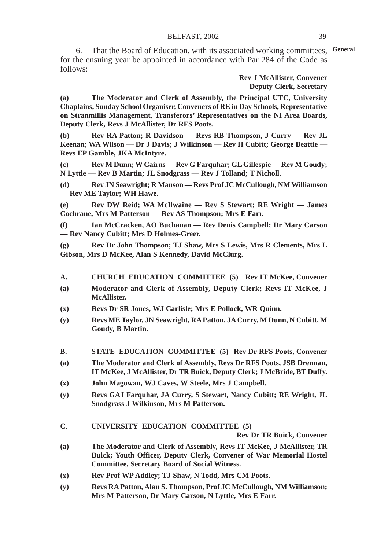6. That the Board of Education, with its associated working committees, **General**for the ensuing year be appointed in accordance with Par 284 of the Code as follows:

**Rev J McAllister, Convener Deputy Clerk, Secretary**

**(a) The Moderator and Clerk of Assembly, the Principal UTC, University Chaplains, Sunday School Organiser, Conveners of RE in Day Schools, Representative on Stranmillis Management, Transferors' Representatives on the NI Area Boards, Deputy Clerk, Revs J McAllister, Dr RFS Poots.**

**(b) Rev RA Patton; R Davidson — Revs RB Thompson, J Curry — Rev JL Keenan; WA Wilson — Dr J Davis; J Wilkinson — Rev H Cubitt; George Beattie — Revs EP Gamble, JKA McIntyre.**

**(c) Rev M Dunn; W Cairns — Rev G Farquhar; GL Gillespie — Rev M Goudy; N Lyttle — Rev B Martin; JL Snodgrass — Rev J Tolland; T Nicholl.**

**(d) Rev JN Seawright; R Manson — Revs Prof JC McCullough, NM Williamson — Rev ME Taylor; WH Hawe.**

**(e) Rev DW Reid; WA McIlwaine — Rev S Stewart; RE Wright — James Cochrane, Mrs M Patterson — Rev AS Thompson; Mrs E Farr.**

**(f) Ian McCracken, AO Buchanan — Rev Denis Campbell; Dr Mary Carson — Rev Nancy Cubitt; Mrs D Holmes-Greer.**

**(g) Rev Dr John Thompson; TJ Shaw, Mrs S Lewis, Mrs R Clements, Mrs L Gibson, Mrs D McKee, Alan S Kennedy, David McClurg.**

- **A. CHURCH EDUCATION COMMITTEE (5) Rev IT McKee, Convener**
- **(a) Moderator and Clerk of Assembly, Deputy Clerk; Revs IT McKee, J McAllister.**
- **(x) Revs Dr SR Jones, WJ Carlisle; Mrs E Pollock, WR Quinn.**
- **(y) Revs ME Taylor, JN Seawright, RA Patton, JA Curry, M Dunn, N Cubitt, M Goudy, B Martin.**
- **B. STATE EDUCATION COMMITTEE (5) Rev Dr RFS Poots, Convener**
- **(a) The Moderator and Clerk of Assembly, Revs Dr RFS Poots, JSB Drennan, IT McKee, J McAllister, Dr TR Buick, Deputy Clerk; J McBride, BT Duffy.**
- **(x) John Magowan, WJ Caves, W Steele, Mrs J Campbell.**
- **(y) Revs GAJ Farquhar, JA Curry, S Stewart, Nancy Cubitt; RE Wright, JL Snodgrass J Wilkinson, Mrs M Patterson.**
- **C. UNIVERSITY EDUCATION COMMITTEE (5)**

**Rev Dr TR Buick, Convener**

- **(a) The Moderator and Clerk of Assembly, Revs IT McKee, J McAllister, TR Buick; Youth Officer, Deputy Clerk, Convener of War Memorial Hostel Committee, Secretary Board of Social Witness.**
- **(x) Rev Prof WP Addley; TJ Shaw, N Todd, Mrs CM Poots.**
- **(y) Revs RA Patton, Alan S. Thompson, Prof JC McCullough, NM Williamson; Mrs M Patterson, Dr Mary Carson, N Lyttle, Mrs E Farr.**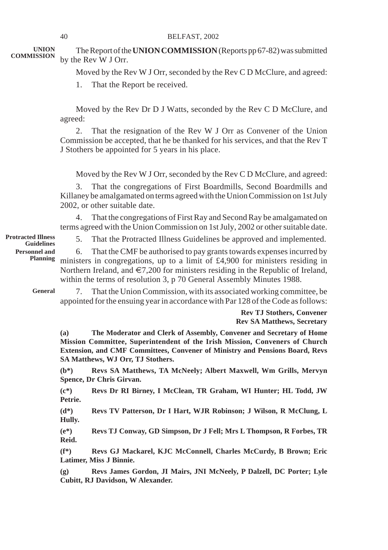## 40 BELFAST, 2002

| <b>UNION</b><br><b>COMMISSION</b>              | The Report of the UNION COMMISSION (Reports pp 67-82) was submitted<br>by the Rev W J Orr.                                                                                                                                                                                                                                    |                                                                                                                                                                                                          |  |  |
|------------------------------------------------|-------------------------------------------------------------------------------------------------------------------------------------------------------------------------------------------------------------------------------------------------------------------------------------------------------------------------------|----------------------------------------------------------------------------------------------------------------------------------------------------------------------------------------------------------|--|--|
|                                                | Moved by the Rev W J Orr, seconded by the Rev C D McClure, and agreed:                                                                                                                                                                                                                                                        |                                                                                                                                                                                                          |  |  |
|                                                | 1.                                                                                                                                                                                                                                                                                                                            | That the Report be received.                                                                                                                                                                             |  |  |
|                                                | agreed:                                                                                                                                                                                                                                                                                                                       | Moved by the Rev Dr D J Watts, seconded by the Rev C D McClure, and                                                                                                                                      |  |  |
|                                                | 2.                                                                                                                                                                                                                                                                                                                            | That the resignation of the Rev W J Orr as Convener of the Union<br>Commission be accepted, that he be thanked for his services, and that the Rev T<br>J Stothers be appointed for 5 years in his place. |  |  |
|                                                |                                                                                                                                                                                                                                                                                                                               | Moved by the Rev W J Orr, seconded by the Rev C D McClure, and agreed:                                                                                                                                   |  |  |
|                                                | 3.                                                                                                                                                                                                                                                                                                                            | That the congregations of First Boardmills, Second Boardmills and<br>Killaney be amalgamated on terms agreed with the Union Commission on 1st July<br>2002, or other suitable date.                      |  |  |
|                                                | 4.                                                                                                                                                                                                                                                                                                                            | That the congregations of First Ray and Second Ray be amalgamated on<br>terms agreed with the Union Commission on 1st July, 2002 or other suitable date.                                                 |  |  |
| <b>Protracted Illness</b><br><b>Guidelines</b> | 5.                                                                                                                                                                                                                                                                                                                            | That the Protracted Illness Guidelines be approved and implemented.                                                                                                                                      |  |  |
| <b>Personnel and</b><br><b>Planning</b>        | That the CMF be authorised to pay grants towards expenses incurred by<br>6.<br>ministers in congregations, up to a limit of £4,900 for ministers residing in<br>Northern Ireland, and $\in 7,200$ for ministers residing in the Republic of Ireland,<br>within the terms of resolution 3, p 70 General Assembly Minutes 1988. |                                                                                                                                                                                                          |  |  |
| General                                        | 7.                                                                                                                                                                                                                                                                                                                            | That the Union Commission, with its associated working committee, be<br>appointed for the ensuing year in accordance with Par 128 of the Code as follows:                                                |  |  |
|                                                |                                                                                                                                                                                                                                                                                                                               | <b>Rev TJ Stothers, Convener</b><br><b>Rev SA Matthews, Secretary</b>                                                                                                                                    |  |  |
|                                                | The Moderator and Clerk of Assembly, Convener and Secretary of Home<br>(a)<br>Mission Committee, Superintendent of the Irish Mission, Conveners of Church<br>Extension, and CMF Committees, Convener of Ministry and Pensions Board, Revs<br>SA Matthews, WJ Orr, TJ Stothers.                                                |                                                                                                                                                                                                          |  |  |
|                                                | $(b*)$                                                                                                                                                                                                                                                                                                                        | Revs SA Matthews, TA McNeely; Albert Maxwell, Wm Grills, Mervyn<br>Spence, Dr Chris Girvan.                                                                                                              |  |  |
|                                                | $(c^*)$<br>Petrie.                                                                                                                                                                                                                                                                                                            | Revs Dr RI Birney, I McClean, TR Graham, WI Hunter; HL Todd, JW                                                                                                                                          |  |  |
|                                                | $(d*)$<br>Hully.                                                                                                                                                                                                                                                                                                              | Revs TV Patterson, Dr I Hart, WJR Robinson; J Wilson, R McClung, L                                                                                                                                       |  |  |
|                                                | $(e^*)$<br>Reid.                                                                                                                                                                                                                                                                                                              | Revs TJ Conway, GD Simpson, Dr J Fell; Mrs L Thompson, R Forbes, TR                                                                                                                                      |  |  |
|                                                | $(f^*)$                                                                                                                                                                                                                                                                                                                       | Revs GJ Mackarel, KJC McConnell, Charles McCurdy, B Brown; Eric<br>Latimer, Miss J Binnie.                                                                                                               |  |  |
|                                                | (g)                                                                                                                                                                                                                                                                                                                           | Revs James Gordon, JI Mairs, JNI McNeely, P Dalzell, DC Porter; Lyle<br>Cubitt, RJ Davidson, W Alexander.                                                                                                |  |  |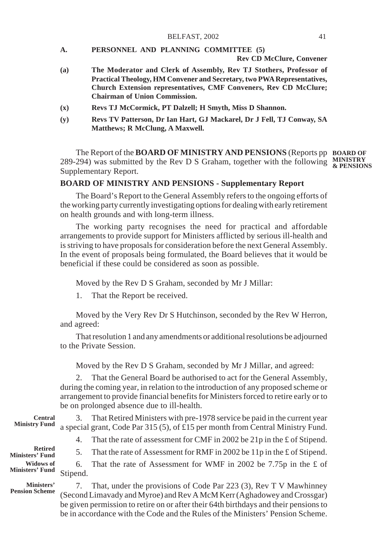**A. PERSONNEL AND PLANNING COMMITTEE (5)**

#### **Rev CD McClure, Convener**

- **(a) The Moderator and Clerk of Assembly, Rev TJ Stothers, Professor of Practical Theology, HM Convener and Secretary, two PWA Representatives, Church Extension representatives, CMF Conveners, Rev CD McClure; Chairman of Union Commission.**
- **(x) Revs TJ McCormick, PT Dalzell; H Smyth, Miss D Shannon.**
- **(y) Revs TV Patterson, Dr Ian Hart, GJ Mackarel, Dr J Fell, TJ Conway, SA Matthews; R McClung, A Maxwell.**

The Report of the **BOARD OF MINISTRY AND PENSIONS** (Reports pp **BOARD OF** 289-294) was submitted by the Rev D S Graham, together with the following **MINISTRY & PENSIONS** Supplementary Report.

# **BOARD OF MINISTRY AND PENSIONS - Supplementary Report**

The Board's Report to the General Assembly refers to the ongoing efforts of the working party currently investigating options for dealing with early retirement on health grounds and with long-term illness.

The working party recognises the need for practical and affordable arrangements to provide support for Ministers afflicted by serious ill-health and is striving to have proposals for consideration before the next General Assembly. In the event of proposals being formulated, the Board believes that it would be beneficial if these could be considered as soon as possible.

Moved by the Rev D S Graham, seconded by Mr J Millar:

1. That the Report be received.

Moved by the Very Rev Dr S Hutchinson, seconded by the Rev W Herron, and agreed:

That resolution 1 and any amendments or additional resolutions be adjourned to the Private Session.

Moved by the Rev D S Graham, seconded by Mr J Millar, and agreed:

2. That the General Board be authorised to act for the General Assembly, during the coming year, in relation to the introduction of any proposed scheme or arrangement to provide financial benefits for Ministers forced to retire early or to be on prolonged absence due to ill-health.

3. That Retired Ministers with pre-1978 service be paid in the current year a special grant, Code Par 315 (5), of £15 per month from Central Ministry Fund. **Central Ministry Fund**

> 4. That the rate of assessment for CMF in 2002 be 21p in the £ of Stipend. 5. That the rate of Assessment for RMF in 2002 be 11p in the £ of Stipend.

**Retired Ministers' Fund Widows of Ministers' Fund**

6. That the rate of Assessment for WMF in 2002 be 7.75p in the £ of Stipend.

**Ministers' Pension Scheme**

7. That, under the provisions of Code Par 223 (3), Rev T V Mawhinney (Second Limavady and Myroe) and Rev A McM Kerr (Aghadowey and Crossgar) be given permission to retire on or after their 64th birthdays and their pensions to be in accordance with the Code and the Rules of the Ministers' Pension Scheme.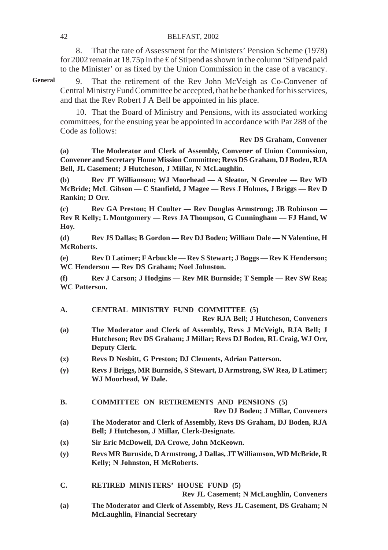8. That the rate of Assessment for the Ministers' Pension Scheme (1978) for 2002 remain at 18.75p in the £ of Stipend as shown in the column 'Stipend paid to the Minister' or as fixed by the Union Commission in the case of a vacancy.

**General**

9. That the retirement of the Rev John McVeigh as Co-Convener of Central Ministry Fund Committee be accepted, that he be thanked for his services, and that the Rev Robert J A Bell be appointed in his place.

10. That the Board of Ministry and Pensions, with its associated working committees, for the ensuing year be appointed in accordance with Par 288 of the Code as follows:

**Rev DS Graham, Convener**

**(a) The Moderator and Clerk of Assembly, Convener of Union Commission, Convener and Secretary Home Mission Committee; Revs DS Graham, DJ Boden, RJA Bell, JL Casement; J Hutcheson, J Millar, N McLaughlin.**

**(b) Rev JT Williamson; WJ Moorhead — A Sleator, N Greenlee — Rev WD McBride; McL Gibson — C Stanfield, J Magee — Revs J Holmes, J Briggs — Rev D Rankin; D Orr.**

**(c) Rev GA Preston; H Coulter — Rev Douglas Armstrong; JB Robinson — Rev R Kelly; L Montgomery — Revs JA Thompson, G Cunningham — FJ Hand, W Hoy.**

**(d) Rev JS Dallas; B Gordon — Rev DJ Boden; William Dale — N Valentine, H McRoberts.**

**(e) Rev D Latimer; F Arbuckle — Rev S Stewart; J Boggs — Rev K Henderson; WC Henderson — Rev DS Graham; Noel Johnston.**

**(f) Rev J Carson; J Hodgins — Rev MR Burnside; T Semple — Rev SW Rea; WC Patterson.**

**A. CENTRAL MINISTRY FUND COMMITTEE (5)**

**Rev RJA Bell; J Hutcheson, Conveners**

- **(a) The Moderator and Clerk of Assembly, Revs J McVeigh, RJA Bell; J Hutcheson; Rev DS Graham; J Millar; Revs DJ Boden, RL Craig, WJ Orr, Deputy Clerk.**
- **(x) Revs D Nesbitt, G Preston; DJ Clements, Adrian Patterson.**
- **(y) Revs J Briggs, MR Burnside, S Stewart, D Armstrong, SW Rea, D Latimer; WJ Moorhead, W Dale.**

**B. COMMITTEE ON RETIREMENTS AND PENSIONS (5)**

**Rev DJ Boden; J Millar, Conveners**

- **(a) The Moderator and Clerk of Assembly, Revs DS Graham, DJ Boden, RJA Bell; J Hutcheson, J Millar, Clerk-Designate.**
- **(x) Sir Eric McDowell, DA Crowe, John McKeown.**
- **(y) Revs MR Burnside, D Armstrong, J Dallas, JT Williamson, WD McBride, R Kelly; N Johnston, H McRoberts.**

**C. RETIRED MINISTERS' HOUSE FUND (5)**

**Rev JL Casement; N McLaughlin, Conveners**

**(a) The Moderator and Clerk of Assembly, Revs JL Casement, DS Graham; N McLaughlin, Financial Secretary**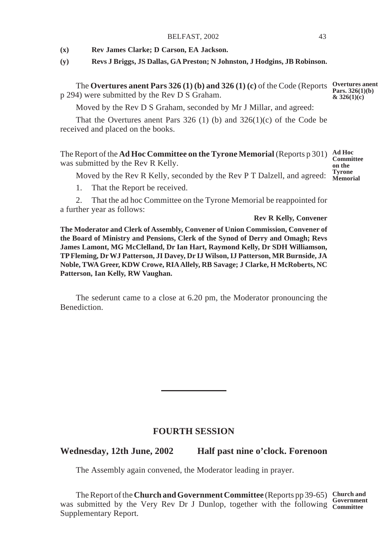**(x) Rev James Clarke; D Carson, EA Jackson.**

**(y) Revs J Briggs, JS Dallas, GA Preston; N Johnston, J Hodgins, JB Robinson.**

The **Overtures anent Pars 326 (1) (b) and 326 (1) (c)** of the Code (Reports  $\frac{0}{n}$  Overtures anent p 294) were submitted by the Rev D S Graham. **Pars. 326(1)(b) & 326(1)(c)**

Moved by the Rev D S Graham, seconded by Mr J Millar, and agreed:

That the Overtures anent Pars 326 (1) (b) and 326(1)(c) of the Code be received and placed on the books.

The Report of the **Ad Hoc Committee on the Tyrone Memorial** (Reports p 301) **Ad Hoc** was submitted by the Rev R Kelly. **Committee on the**

Moved by the Rev R Kelly, seconded by the Rev P T Dalzell, and agreed: **Tyrone Memorial**

1. That the Report be received.

2. That the ad hoc Committee on the Tyrone Memorial be reappointed for a further year as follows:

#### **Rev R Kelly, Convener**

**The Moderator and Clerk of Assembly, Convener of Union Commission, Convener of the Board of Ministry and Pensions, Clerk of the Synod of Derry and Omagh; Revs James Lamont, MG McClelland, Dr Ian Hart, Raymond Kelly, Dr SDH Williamson, TP Fleming, Dr WJ Patterson, JI Davey, Dr IJ Wilson, IJ Patterson, MR Burnside, JA Noble, TWA Greer, KDW Crowe, RIA Allely, RB Savage; J Clarke, H McRoberts, NC Patterson, Ian Kelly, RW Vaughan.**

The sederunt came to a close at 6.20 pm, the Moderator pronouncing the Benediction.

## **FOURTH SESSION**

## **Wednesday, 12th June, 2002 Half past nine o'clock. Forenoon**

The Assembly again convened, the Moderator leading in prayer.

The Report of the **Church and Government Committee** (Reports pp 39-65) **Church and** was submitted by the Very Rev Dr J Dunlop, together with the following Committee Supplementary Report.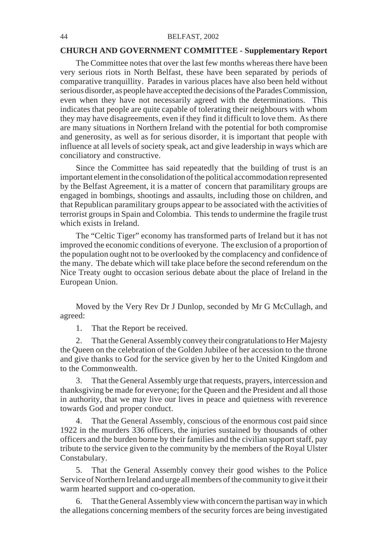#### **CHURCH AND GOVERNMENT COMMITTEE - Supplementary Report**

The Committee notes that over the last few months whereas there have been very serious riots in North Belfast, these have been separated by periods of comparative tranquillity. Parades in various places have also been held without serious disorder, as people have accepted the decisions of the Parades Commission, even when they have not necessarily agreed with the determinations. This indicates that people are quite capable of tolerating their neighbours with whom they may have disagreements, even if they find it difficult to love them. As there are many situations in Northern Ireland with the potential for both compromise and generosity, as well as for serious disorder, it is important that people with influence at all levels of society speak, act and give leadership in ways which are conciliatory and constructive.

Since the Committee has said repeatedly that the building of trust is an important element in the consolidation of the political accommodation represented by the Belfast Agreement, it is a matter of concern that paramilitary groups are engaged in bombings, shootings and assaults, including those on children, and that Republican paramilitary groups appear to be associated with the activities of terrorist groups in Spain and Colombia. This tends to undermine the fragile trust which exists in Ireland.

The "Celtic Tiger" economy has transformed parts of Ireland but it has not improved the economic conditions of everyone. The exclusion of a proportion of the population ought not to be overlooked by the complacency and confidence of the many. The debate which will take place before the second referendum on the Nice Treaty ought to occasion serious debate about the place of Ireland in the European Union.

Moved by the Very Rev Dr J Dunlop, seconded by Mr G McCullagh, and agreed:

1. That the Report be received.

2. That the General Assembly convey their congratulations to Her Majesty the Queen on the celebration of the Golden Jubilee of her accession to the throne and give thanks to God for the service given by her to the United Kingdom and to the Commonwealth.

3. That the General Assembly urge that requests, prayers, intercession and thanksgiving be made for everyone; for the Queen and the President and all those in authority, that we may live our lives in peace and quietness with reverence towards God and proper conduct.

4. That the General Assembly, conscious of the enormous cost paid since 1922 in the murders 336 officers, the injuries sustained by thousands of other officers and the burden borne by their families and the civilian support staff, pay tribute to the service given to the community by the members of the Royal Ulster Constabulary.

5. That the General Assembly convey their good wishes to the Police Service of Northern Ireland and urge all members of the community to give it their warm hearted support and co-operation.

6. That the General Assembly view with concern the partisan way in which the allegations concerning members of the security forces are being investigated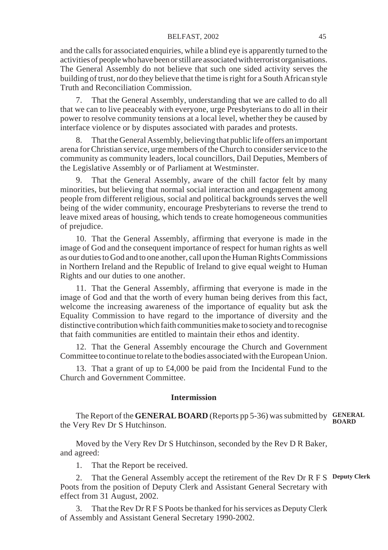and the calls for associated enquiries, while a blind eye is apparently turned to the activities of people who have been or still are associated with terrorist organisations. The General Assembly do not believe that such one sided activity serves the building of trust, nor do they believe that the time is right for a South African style Truth and Reconciliation Commission.

7. That the General Assembly, understanding that we are called to do all that we can to live peaceably with everyone, urge Presbyterians to do all in their power to resolve community tensions at a local level, whether they be caused by interface violence or by disputes associated with parades and protests.

8. That the General Assembly, believing that public life offers an important arena for Christian service, urge members of the Church to consider service to the community as community leaders, local councillors, Dail Deputies, Members of the Legislative Assembly or of Parliament at Westminster.

9. That the General Assembly, aware of the chill factor felt by many minorities, but believing that normal social interaction and engagement among people from different religious, social and political backgrounds serves the well being of the wider community, encourage Presbyterians to reverse the trend to leave mixed areas of housing, which tends to create homogeneous communities of prejudice.

10. That the General Assembly, affirming that everyone is made in the image of God and the consequent importance of respect for human rights as well as our duties to God and to one another, call upon the Human Rights Commissions in Northern Ireland and the Republic of Ireland to give equal weight to Human Rights and our duties to one another.

11. That the General Assembly, affirming that everyone is made in the image of God and that the worth of every human being derives from this fact, welcome the increasing awareness of the importance of equality but ask the Equality Commission to have regard to the importance of diversity and the distinctive contribution which faith communities make to society and to recognise that faith communities are entitled to maintain their ethos and identity.

12. That the General Assembly encourage the Church and Government Committee to continue to relate to the bodies associated with the European Union.

13. That a grant of up to £4,000 be paid from the Incidental Fund to the Church and Government Committee.

#### **Intermission**

The Report of the **GENERAL BOARD** (Reports pp 5-36) was submitted by **GENERAL BOARD** the Very Rev Dr S Hutchinson.

Moved by the Very Rev Dr S Hutchinson, seconded by the Rev D R Baker, and agreed:

1. That the Report be received.

2. That the General Assembly accept the retirement of the Rev Dr R F S **Deputy Clerk**Poots from the position of Deputy Clerk and Assistant General Secretary with effect from 31 August, 2002.

3. That the Rev Dr R F S Poots be thanked for his services as Deputy Clerk of Assembly and Assistant General Secretary 1990-2002.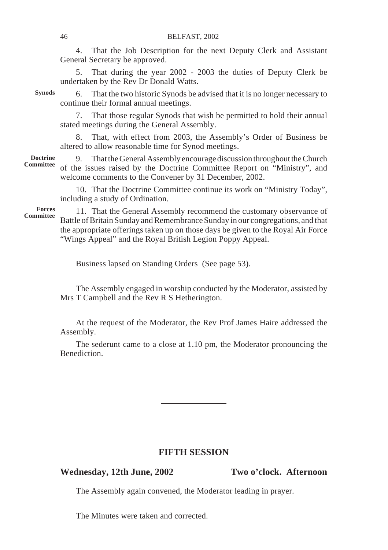4. That the Job Description for the next Deputy Clerk and Assistant General Secretary be approved.

5. That during the year 2002 - 2003 the duties of Deputy Clerk be undertaken by the Rev Dr Donald Watts.

**Synods**

6. That the two historic Synods be advised that it is no longer necessary to continue their formal annual meetings.

7. That those regular Synods that wish be permitted to hold their annual stated meetings during the General Assembly.

8. That, with effect from 2003, the Assembly's Order of Business be altered to allow reasonable time for Synod meetings.

**Doctrine Committee**

9. That the General Assembly encourage discussion throughout the Church of the issues raised by the Doctrine Committee Report on "Ministry", and welcome comments to the Convener by 31 December, 2002.

10. That the Doctrine Committee continue its work on "Ministry Today", including a study of Ordination.

11. That the General Assembly recommend the customary observance of Battle of Britain Sunday and Remembrance Sunday in our congregations, and that the appropriate offerings taken up on those days be given to the Royal Air Force "Wings Appeal" and the Royal British Legion Poppy Appeal.

Business lapsed on Standing Orders (See page 53).

The Assembly engaged in worship conducted by the Moderator, assisted by Mrs T Campbell and the Rev R S Hetherington.

At the request of the Moderator, the Rev Prof James Haire addressed the Assembly.

The sederunt came to a close at 1.10 pm, the Moderator pronouncing the **Benediction** 

## **FIFTH SESSION**

# **Wednesday, 12th June, 2002 Two o'clock. Afternoon**

The Assembly again convened, the Moderator leading in prayer.

The Minutes were taken and corrected.

**Forces Committee**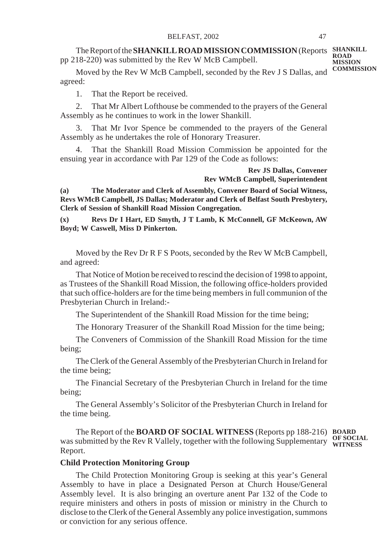The Report of the **SHANKILL ROAD MISSION COMMISSION** (Reports **SHANKILL** pp 218-220) was submitted by the Rev W McB Campbell. **ROAD MISSION COMMISSION**

Moved by the Rev W McB Campbell, seconded by the Rev J S Dallas, and agreed:

1. That the Report be received.

2. That Mr Albert Lofthouse be commended to the prayers of the General Assembly as he continues to work in the lower Shankill.

3. That Mr Ivor Spence be commended to the prayers of the General Assembly as he undertakes the role of Honorary Treasurer.

4. That the Shankill Road Mission Commission be appointed for the ensuing year in accordance with Par 129 of the Code as follows:

> **Rev JS Dallas, Convener Rev WMcB Campbell, Superintendent**

**(a) The Moderator and Clerk of Assembly, Convener Board of Social Witness, Revs WMcB Campbell, JS Dallas; Moderator and Clerk of Belfast South Presbytery, Clerk of Session of Shankill Road Mission Congregation.**

**(x) Revs Dr I Hart, ED Smyth, J T Lamb, K McConnell, GF McKeown, AW Boyd; W Caswell, Miss D Pinkerton.**

Moved by the Rev Dr R F S Poots, seconded by the Rev W McB Campbell, and agreed:

That Notice of Motion be received to rescind the decision of 1998 to appoint, as Trustees of the Shankill Road Mission, the following office-holders provided that such office-holders are for the time being members in full communion of the Presbyterian Church in Ireland:-

The Superintendent of the Shankill Road Mission for the time being;

The Honorary Treasurer of the Shankill Road Mission for the time being;

The Conveners of Commission of the Shankill Road Mission for the time being;

The Clerk of the General Assembly of the Presbyterian Church in Ireland for the time being;

The Financial Secretary of the Presbyterian Church in Ireland for the time being;

The General Assembly's Solicitor of the Presbyterian Church in Ireland for the time being.

The Report of the **BOARD OF SOCIAL WITNESS** (Reports pp 188-216) **BOARD** was submitted by the Rev R Vallely, together with the following Supplementary **OF SOCIAL** Report.

## **Child Protection Monitoring Group**

The Child Protection Monitoring Group is seeking at this year's General Assembly to have in place a Designated Person at Church House/General Assembly level. It is also bringing an overture anent Par 132 of the Code to require ministers and others in posts of mission or ministry in the Church to disclose to the Clerk of the General Assembly any police investigation, summons or conviction for any serious offence.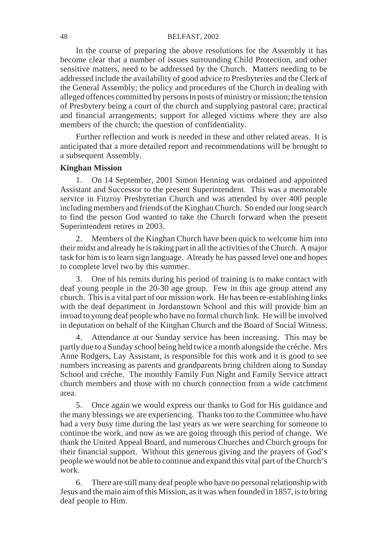#### 48 BELFAST, 2002

In the course of preparing the above resolutions for the Assembly it has become clear that a number of issues surrounding Child Protection, and other sensitive matters, need to be addressed by the Church. Matters needing to be addressed include the availability of good advice to Presbyteries and the Clerk of the General Assembly; the policy and procedures of the Church in dealing with alleged offences committed by persons in posts of ministry or mission; the tension of Presbytery being a court of the church and supplying pastoral care; practical and financial arrangements; support for alleged victims where they are also members of the church; the question of confidentiality.

Further reflection and work is needed in these and other related areas. It is anticipated that a more detailed report and recommendations will be brought to a subsequent Assembly.

## **Kinghan Mission**

1. On 14 September, 2001 Simon Henning was ordained and appointed Assistant and Successor to the present Superintendent. This was a memorable service in Fitzroy Presbyterian Church and was attended by over 400 people including members and friends of the Kinghan Church. So ended our long search to find the person God wanted to take the Church forward when the present Superintendent retires in 2003.

2. Members of the Kinghan Church have been quick to welcome him into their midst and already he is taking part in all the activities of the Church. A major task for him is to learn sign language. Already he has passed level one and hopes to complete level two by this summer.

3. One of his remits during his period of training is to make contact with deaf young people in the 20-30 age group. Few in this age group attend any church. This is a vital part of our mission work. He has been re-establishing links with the deaf department in Jordanstown School and this will provide him an inroad to young deaf people who have no formal church link. He will be involved in deputation on behalf of the Kinghan Church and the Board of Social Witness.

4. Attendance at our Sunday service has been increasing. This may be partly due to a Sunday school being held twice a month alongside the créche. Mrs Anne Rodgers, Lay Assistant, is responsible for this work and it is good to see numbers increasing as parents and grandparents bring children along to Sunday School and créche. The monthly Family Fun Night and Family Service attract church members and those with no church connection from a wide catchment area.

5. Once again we would express our thanks to God for His guidance and the many blessings we are experiencing. Thanks too to the Committee who have had a very busy time during the last years as we were searching for someone to continue the work, and now as we are going through this period of change. We thank the United Appeal Board, and numerous Churches and Church groups for their financial support. Without this generous giving and the prayers of God's people we would not be able to continue and expand this vital part of the Church's work.

6. There are still many deaf people who have no personal relationship with Jesus and the main aim of this Mission, as it was when founded in 1857, is to bring deaf people to Him.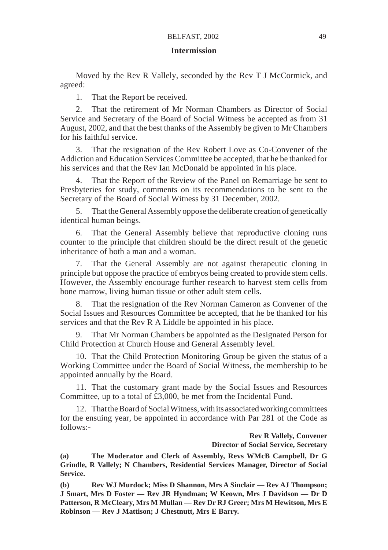#### **Intermission**

Moved by the Rev R Vallely, seconded by the Rev T J McCormick, and agreed:

1. That the Report be received.

2. That the retirement of Mr Norman Chambers as Director of Social Service and Secretary of the Board of Social Witness be accepted as from 31 August, 2002, and that the best thanks of the Assembly be given to Mr Chambers for his faithful service.

3. That the resignation of the Rev Robert Love as Co-Convener of the Addiction and Education Services Committee be accepted, that he be thanked for his services and that the Rev Ian McDonald be appointed in his place.

4. That the Report of the Review of the Panel on Remarriage be sent to Presbyteries for study, comments on its recommendations to be sent to the Secretary of the Board of Social Witness by 31 December, 2002.

5. That the General Assembly oppose the deliberate creation of genetically identical human beings.

6. That the General Assembly believe that reproductive cloning runs counter to the principle that children should be the direct result of the genetic inheritance of both a man and a woman.

7. That the General Assembly are not against therapeutic cloning in principle but oppose the practice of embryos being created to provide stem cells. However, the Assembly encourage further research to harvest stem cells from bone marrow, living human tissue or other adult stem cells.

That the resignation of the Rev Norman Cameron as Convener of the Social Issues and Resources Committee be accepted, that he be thanked for his services and that the Rev R A Liddle be appointed in his place.

9. That Mr Norman Chambers be appointed as the Designated Person for Child Protection at Church House and General Assembly level.

10. That the Child Protection Monitoring Group be given the status of a Working Committee under the Board of Social Witness, the membership to be appointed annually by the Board.

11. That the customary grant made by the Social Issues and Resources Committee, up to a total of £3,000, be met from the Incidental Fund.

12. That the Board of Social Witness, with its associated working committees for the ensuing year, be appointed in accordance with Par 281 of the Code as follows:-

> **Rev R Vallely, Convener Director of Social Service, Secretary**

**(a) The Moderator and Clerk of Assembly, Revs WMcB Campbell, Dr G Grindle, R Vallely; N Chambers, Residential Services Manager, Director of Social Service.**

**(b) Rev WJ Murdock; Miss D Shannon, Mrs A Sinclair — Rev AJ Thompson; J Smart, Mrs D Foster — Rev JR Hyndman; W Keown, Mrs J Davidson — Dr D Patterson, R McCleary, Mrs M Mullan — Rev Dr RJ Greer; Mrs M Hewitson, Mrs E Robinson — Rev J Mattison; J Chestnutt, Mrs E Barry.**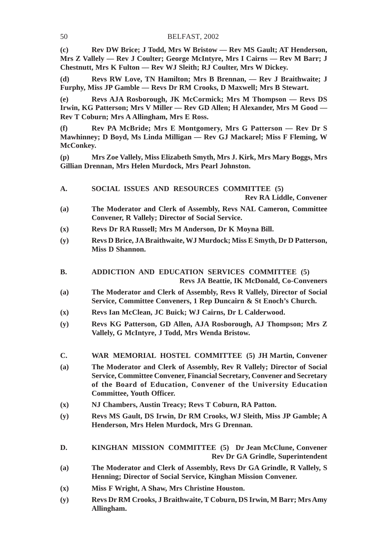**(c) Rev DW Brice; J Todd, Mrs W Bristow — Rev MS Gault; AT Henderson, Mrs Z Vallely — Rev J Coulter; George McIntyre, Mrs I Cairns — Rev M Barr; J Chestnutt, Mrs K Fulton — Rev WJ Sleith; RJ Coulter, Mrs W Dickey.**

**(d) Revs RW Love, TN Hamilton; Mrs B Brennan, — Rev J Braithwaite; J Furphy, Miss JP Gamble — Revs Dr RM Crooks, D Maxwell; Mrs B Stewart.**

**(e) Revs AJA Rosborough, JK McCormick; Mrs M Thompson — Revs DS Irwin, KG Patterson; Mrs V Miller — Rev GD Allen; H Alexander, Mrs M Good — Rev T Coburn; Mrs A Allingham, Mrs E Ross.**

**(f) Rev PA McBride; Mrs E Montgomery, Mrs G Patterson — Rev Dr S Mawhinney; D Boyd, Ms Linda Milligan — Rev GJ Mackarel; Miss F Fleming, W McConkey.**

**(p) Mrs Zoe Vallely, Miss Elizabeth Smyth, Mrs J. Kirk, Mrs Mary Boggs, Mrs Gillian Drennan, Mrs Helen Murdock, Mrs Pearl Johnston.**

## **A. SOCIAL ISSUES AND RESOURCES COMMITTEE (5)**

**Rev RA Liddle, Convener**

- **(a) The Moderator and Clerk of Assembly, Revs NAL Cameron, Committee Convener, R Vallely; Director of Social Service.**
- **(x) Revs Dr RA Russell; Mrs M Anderson, Dr K Moyna Bill.**
- **(y) Revs D Brice, JA Braithwaite, WJ Murdock; Miss E Smyth, Dr D Patterson, Miss D Shannon.**
- **B. ADDICTION AND EDUCATION SERVICES COMMITTEE (5) Revs JA Beattie, IK McDonald, Co-Conveners**
- **(a) The Moderator and Clerk of Assembly, Revs R Vallely, Director of Social Service, Committee Conveners, 1 Rep Duncairn & St Enoch's Church.**
- **(x) Revs Ian McClean, JC Buick; WJ Cairns, Dr L Calderwood.**
- **(y) Revs KG Patterson, GD Allen, AJA Rosborough, AJ Thompson; Mrs Z Vallely, G McIntyre, J Todd, Mrs Wenda Bristow.**
- **C. WAR MEMORIAL HOSTEL COMMITTEE (5) JH Martin, Convener**
- **(a) The Moderator and Clerk of Assembly, Rev R Vallely; Director of Social Service, Committee Convener, Financial Secretary, Convener and Secretary of the Board of Education, Convener of the University Education Committee, Youth Officer.**
- **(x) NJ Chambers, Austin Treacy; Revs T Coburn, RA Patton.**
- **(y) Revs MS Gault, DS Irwin, Dr RM Crooks, WJ Sleith, Miss JP Gamble; A Henderson, Mrs Helen Murdock, Mrs G Drennan.**
- **D. KINGHAN MISSION COMMITTEE (5) Dr Jean McClune, Convener Rev Dr GA Grindle, Superintendent**
- **(a) The Moderator and Clerk of Assembly, Revs Dr GA Grindle, R Vallely, S Henning; Director of Social Service, Kinghan Mission Convener.**
- **(x) Miss F Wright, A Shaw, Mrs Christine Houston.**
- **(y) Revs Dr RM Crooks, J Braithwaite, T Coburn, DS Irwin, M Barr; Mrs Amy Allingham.**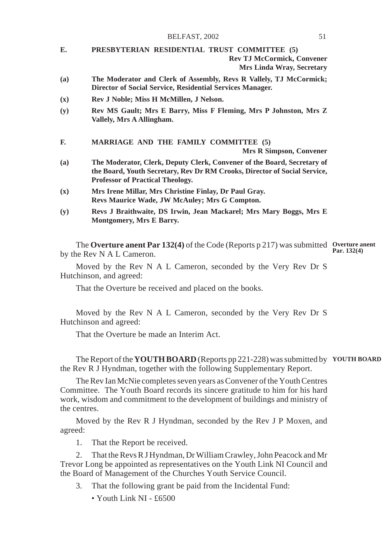#### BELFAST, 2002 51

**E. PRESBYTERIAN RESIDENTIAL TRUST COMMITTEE (5) Rev TJ McCormick, Convener**

**Mrs Linda Wray, Secretary**

- **(a) The Moderator and Clerk of Assembly, Revs R Vallely, TJ McCormick; Director of Social Service, Residential Services Manager.**
- **(x) Rev J Noble; Miss H McMillen, J Nelson.**
- **(y) Rev MS Gault; Mrs E Barry, Miss F Fleming, Mrs P Johnston, Mrs Z Vallely, Mrs A Allingham.**
- **F. MARRIAGE AND THE FAMILY COMMITTEE (5)**

**Mrs R Simpson, Convener**

- **(a) The Moderator, Clerk, Deputy Clerk, Convener of the Board, Secretary of the Board, Youth Secretary, Rev Dr RM Crooks, Director of Social Service, Professor of Practical Theology.**
- **(x) Mrs Irene Millar, Mrs Christine Finlay, Dr Paul Gray. Revs Maurice Wade, JW McAuley; Mrs G Compton.**
- **(y) Revs J Braithwaite, DS Irwin, Jean Mackarel; Mrs Mary Boggs, Mrs E Montgomery, Mrs E Barry.**

The **Overture anent Par 132(4)** of the Code (Reports p 217) was submitted **Overture anent** by the Rev N A L Cameron. **Par. 132(4)**

Moved by the Rev N A L Cameron, seconded by the Very Rev Dr S Hutchinson, and agreed:

That the Overture be received and placed on the books.

Moved by the Rev N A L Cameron, seconded by the Very Rev Dr S Hutchinson and agreed:

That the Overture be made an Interim Act.

The Report of the **YOUTH BOARD** (Reports pp 221-228) was submitted by **YOUTH BOARD**the Rev R J Hyndman, together with the following Supplementary Report.

The Rev Ian McNie completes seven years as Convener of the Youth Centres Committee. The Youth Board records its sincere gratitude to him for his hard work, wisdom and commitment to the development of buildings and ministry of the centres.

Moved by the Rev R J Hyndman, seconded by the Rev J P Moxen, and agreed:

1. That the Report be received.

2. That the Revs R J Hyndman, Dr William Crawley, John Peacock and Mr Trevor Long be appointed as representatives on the Youth Link NI Council and the Board of Management of the Churches Youth Service Council.

- 3. That the following grant be paid from the Incidental Fund:
	- Youth Link NI £6500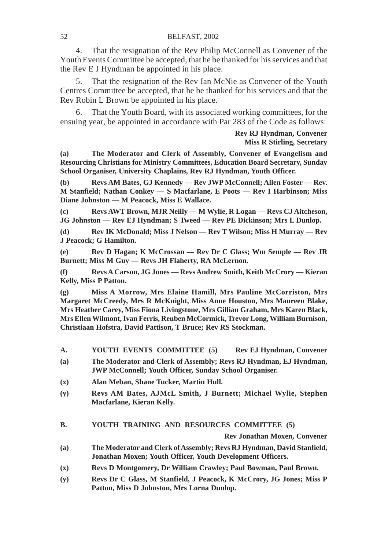4. That the resignation of the Rev Philip McConnell as Convener of the Youth Events Committee be accepted, that he be thanked for his services and that the Rev E J Hyndman be appointed in his place.

5. That the resignation of the Rev Ian McNie as Convener of the Youth Centres Committee be accepted, that he be thanked for his services and that the Rev Robin L Brown be appointed in his place.

6. That the Youth Board, with its associated working committees, for the ensuing year, be appointed in accordance with Par 283 of the Code as follows:

> **Rev RJ Hyndman, Convener Miss R Stirling, Secretary**

**(a) The Moderator and Clerk of Assembly, Convener of Evangelism and Resourcing Christians for Ministry Committees, Education Board Secretary, Sunday School Organiser, University Chaplains, Rev RJ Hyndman, Youth Officer.**

**(b) Revs AM Bates, GJ Kennedy — Rev JWP McConnell; Allen Foster — Rev. M Stanfield; Nathan Conkey — S Macfarlane, E Poots — Rev I Harbinson; Miss Diane Johnston — M Peacock, Miss E Wallace.**

**(c) Revs AWT Brown, MJR Neilly — M Wylie, R Logan — Revs CJ Aitcheson, JG Johnston — Rev EJ Hyndman; S Tweed — Rev PE Dickinson; Mrs L Dunlop.**

**(d) Rev IK McDonald; Miss J Nelson — Rev T Wilson; Miss H Murray — Rev J Peacock; G Hamilton.**

**(e) Rev D Hagan; K McCrossan — Rev Dr C Glass; Wm Semple — Rev JR Burnett; Miss M Guy — Revs JH Flaherty, RA McLernon.**

**(f) Revs A Carson, JG Jones — Revs Andrew Smith, Keith McCrory — Kieran Kelly, Miss P Patton.**

**(g) Miss A Morrow, Mrs Elaine Hamill, Mrs Pauline McCorriston, Mrs Margaret McCreedy, Mrs R McKnight, Miss Anne Houston, Mrs Maureen Blake, Mrs Heather Carey, Miss Fiona Livingstone, Mrs Gillian Graham, Mrs Karen Black, Mrs Ellen Wilmont, Ivan Ferris, Reuben McCormick, Trevor Long, William Burnison, Christiaan Hofstra, David Pattison, T Bruce; Rev RS Stockman.**

- **A. YOUTH EVENTS COMMITTEE (5) Rev EJ Hyndman, Convener**
- **(a) The Moderator and Clerk of Assembly; Revs RJ Hyndman, EJ Hyndman, JWP McConnell; Youth Officer, Sunday School Organiser.**
- **(x) Alan Meban, Shane Tucker, Martin Hull.**
- **(y) Revs AM Bates, AJMcL Smith, J Burnett; Michael Wylie, Stephen Macfarlane, Kieran Kelly.**

## **B. YOUTH TRAINING AND RESOURCES COMMITTEE (5)**

**Rev Jonathan Moxen, Convener**

- **(a) The Moderator and Clerk of Assembly; Revs RJ Hyndman, David Stanfield, Jonathan Moxen; Youth Officer, Youth Development Officers.**
- **(x) Revs D Montgomery, Dr William Crawley; Paul Bowman, Paul Brown.**
- **(y) Revs Dr C Glass, M Stanfield, J Peacock, K McCrory, JG Jones; Miss P Patton, Miss D Johnston, Mrs Lorna Dunlop.**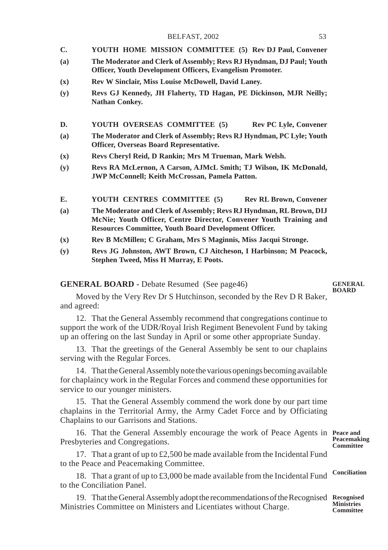#### BELFAST, 2002 53

- **C. YOUTH HOME MISSION COMMITTEE (5) Rev DJ Paul, Convener**
- **(a) The Moderator and Clerk of Assembly; Revs RJ Hyndman, DJ Paul; Youth Officer, Youth Development Officers, Evangelism Promoter.**
- **(x) Rev W Sinclair, Miss Louise McDowell, David Laney.**
- **(y) Revs GJ Kennedy, JH Flaherty, TD Hagan, PE Dickinson, MJR Neilly; Nathan Conkey.**
- **D. YOUTH OVERSEAS COMMITTEE (5) Rev PC Lyle, Convener**
- **(a) The Moderator and Clerk of Assembly; Revs RJ Hyndman, PC Lyle; Youth Officer, Overseas Board Representative.**
- **(x) Revs Cheryl Reid, D Rankin; Mrs M Trueman, Mark Welsh.**
- **(y) Revs RA McLernon, A Carson, AJMcL Smith; TJ Wilson, IK McDonald, JWP McConnell; Keith McCrossan, Pamela Patton.**
- **E. YOUTH CENTRES COMMITTEE (5) Rev RL Brown, Convener**
- **(a) The Moderator and Clerk of Assembly; Revs RJ Hyndman, RL Brown, DIJ McNie; Youth Officer, Centre Director, Convener Youth Training and Resources Committee, Youth Board Development Officer.**
- **(x) Rev B McMillen; C Graham, Mrs S Maginnis, Miss Jacqui Stronge.**
- **(y) Revs JG Johnston, AWT Brown, CJ Aitcheson, I Harbinson; M Peacock, Stephen Tweed, Miss H Murray, E Poots.**

**GENERAL BOARD -** Debate Resumed (See page46)

#### **GENERAL BOARD**

Moved by the Very Rev Dr S Hutchinson, seconded by the Rev D R Baker, and agreed:

12. That the General Assembly recommend that congregations continue to support the work of the UDR/Royal Irish Regiment Benevolent Fund by taking up an offering on the last Sunday in April or some other appropriate Sunday.

13. That the greetings of the General Assembly be sent to our chaplains serving with the Regular Forces.

14. That the General Assembly note the various openings becoming available for chaplaincy work in the Regular Forces and commend these opportunities for service to our younger ministers.

15. That the General Assembly commend the work done by our part time chaplains in the Territorial Army, the Army Cadet Force and by Officiating Chaplains to our Garrisons and Stations.

16. That the General Assembly encourage the work of Peace Agents in **Peace and** Presbyteries and Congregations. **Peacemaking Committee**

17. That a grant of up to £2,500 be made available from the Incidental Fund to the Peace and Peacemaking Committee.

18. That a grant of up to £3,000 be made available from the Incidental Fund to the Conciliation Panel. **Conciliation**

19. That the General Assembly adopt the recommendations of the Recognised **Recognised** Ministries Committee on Ministers and Licentiates without Charge. **Ministries Committee**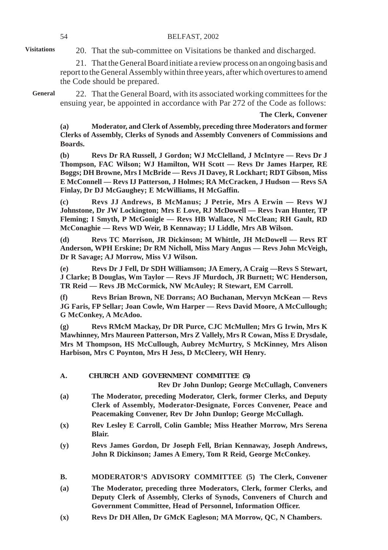## 54 BELFAST, 2002

**Visitations**

20. That the sub-committee on Visitations be thanked and discharged.

21. That the General Board initiate a review process on an ongoing basis and report to the General Assembly within three years, after which overtures to amend the Code should be prepared.

**General**

22. That the General Board, with its associated working committees for the ensuing year, be appointed in accordance with Par 272 of the Code as follows:

#### **The Clerk, Convener**

**(a) Moderator, and Clerk of Assembly, preceding three Moderators and former Clerks of Assembly, Clerks of Synods and Assembly Conveners of Commissions and Boards.**

**(b) Revs Dr RA Russell, J Gordon; WJ McClelland, J McIntyre — Revs Dr J Thompson, FAC Wilson; WJ Hamilton, WH Scott — Revs Dr James Harper, RE Boggs; DH Browne, Mrs I McBride — Revs JI Davey, R Lockhart; RDT Gibson, Miss E McConnell — Revs IJ Patterson, J Holmes; RA McCracken, J Hudson — Revs SA Finlay, Dr DJ McGaughey; E McWilliams, H McGaffin.**

**(c) Revs JJ Andrews, B McManus; J Petrie, Mrs A Erwin — Revs WJ Johnstone, Dr JW Lockington; Mrs E Love, RJ McDowell — Revs Ivan Hunter, TP Fleming; I Smyth, P McGonigle — Revs HB Wallace, N McClean; RH Gault, RD McConaghie — Revs WD Weir, B Kennaway; IJ Liddle, Mrs AB Wilson.**

**(d) Revs TC Morrison, JR Dickinson; M Whittle, JH McDowell — Revs RT Anderson, WPH Erskine; Dr RM Nicholl, Miss Mary Angus — Revs John McVeigh, Dr R Savage; AJ Morrow, Miss VJ Wilson.**

**(e) Revs Dr J Fell, Dr SDH Williamson; JA Emery, A Craig —Revs S Stewart, J Clarke; B Douglas, Wm Taylor — Revs JF Murdoch, JR Burnett; WC Henderson, TR Reid — Revs JB McCormick, NW McAuley; R Stewart, EM Carroll.**

**(f) Revs Brian Brown, NE Dorrans; AO Buchanan, Mervyn McKean — Revs JG Faris, FP Sellar; Joan Cowle, Wm Harper — Revs David Moore, A McCullough; G McConkey, A McAdoo.**

**(g) Revs RMcM Mackay, Dr DR Purce, CJC McMullen; Mrs G Irwin, Mrs K Mawhinney, Mrs Maureen Patterson, Mrs Z Vallely, Mrs R Cowan, Miss E Drysdale, Mrs M Thompson, HS McCullough, Aubrey McMurtry, S McKinney, Mrs Alison Harbison, Mrs C Poynton, Mrs H Jess, D McCleery, WH Henry.**

**A. CHURCH AND GOVERNMENT COMMITTEE (5)**

**Rev Dr John Dunlop; George McCullagh, Conveners**

- **(a) The Moderator, preceding Moderator, Clerk, former Clerks, and Deputy Clerk of Assembly, Moderator-Designate, Forces Convener, Peace and Peacemaking Convener, Rev Dr John Dunlop; George McCullagh.**
- **(x) Rev Lesley E Carroll, Colin Gamble; Miss Heather Morrow, Mrs Serena Blair.**
- **(y) Revs James Gordon, Dr Joseph Fell, Brian Kennaway, Joseph Andrews, John R Dickinson; James A Emery, Tom R Reid, George McConkey.**
- **B. MODERATOR'S ADVISORY COMMITTEE (5) The Clerk, Convener**
- **(a) The Moderator, preceding three Moderators, Clerk, former Clerks, and Deputy Clerk of Assembly, Clerks of Synods, Conveners of Church and Government Committee, Head of Personnel, Information Officer.**
- **(x) Revs Dr DH Allen, Dr GMcK Eagleson; MA Morrow, QC, N Chambers.**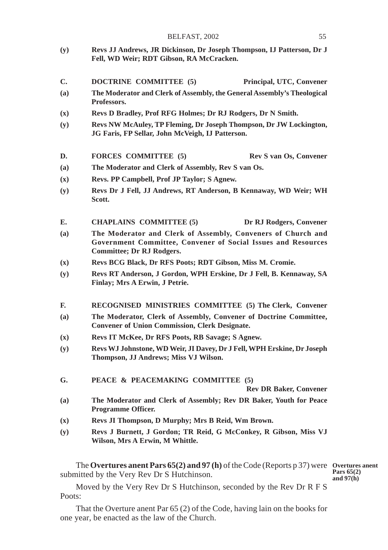- **(y) Revs JJ Andrews, JR Dickinson, Dr Joseph Thompson, IJ Patterson, Dr J Fell, WD Weir; RDT Gibson, RA McCracken.**
- **C. DOCTRINE COMMITTEE (5) Principal, UTC, Convener**
- **(a) The Moderator and Clerk of Assembly, the General Assembly's Theological Professors.**
- **(x) Revs D Bradley, Prof RFG Holmes; Dr RJ Rodgers, Dr N Smith.**
- **(y) Revs NW McAuley, TP Fleming, Dr Joseph Thompson, Dr JW Lockington, JG Faris, FP Sellar, John McVeigh, IJ Patterson.**
- **D. FORCES COMMITTEE (5) Rev S van Os, Convener**
- **(a) The Moderator and Clerk of Assembly, Rev S van Os.**
- **(x) Revs. PP Campbell, Prof JP Taylor; S Agnew.**
- **(y) Revs Dr J Fell, JJ Andrews, RT Anderson, B Kennaway, WD Weir; WH Scott.**
- **E. CHAPLAINS COMMITTEE (5) Dr RJ Rodgers, Convener**
- **(a) The Moderator and Clerk of Assembly, Conveners of Church and Government Committee, Convener of Social Issues and Resources Committee; Dr RJ Rodgers.**
- **(x) Revs BCG Black, Dr RFS Poots; RDT Gibson, Miss M. Cromie.**
- **(y) Revs RT Anderson, J Gordon, WPH Erskine, Dr J Fell, B. Kennaway, SA Finlay; Mrs A Erwin, J Petrie.**
- **F. RECOGNISED MINISTRIES COMMITTEE (5) The Clerk, Convener**
- **(a) The Moderator, Clerk of Assembly, Convener of Doctrine Committee, Convener of Union Commission, Clerk Designate.**
- **(x) Revs IT McKee, Dr RFS Poots, RB Savage; S Agnew.**
- **(y) Revs WJ Johnstone, WD Weir, JI Davey, Dr J Fell, WPH Erskine, Dr Joseph Thompson, JJ Andrews; Miss VJ Wilson.**
- **G. PEACE & PEACEMAKING COMMITTEE (5)**

**Rev DR Baker, Convener**

- **(a) The Moderator and Clerk of Assembly; Rev DR Baker, Youth for Peace Programme Officer.**
- **(x) Revs JI Thompson, D Murphy; Mrs B Reid, Wm Brown.**
- **(y) Revs J Burnett, J Gordon; TR Reid, G McConkey, R Gibson, Miss VJ Wilson, Mrs A Erwin, M Whittle.**

The **Overtures anent Pars 65(2) and 97 (h)** of the Code (Reports p 37) were **Overtures anent** submitted by the Very Rev Dr S Hutchinson. **Pars 65(2) and 97(h)**

Moved by the Very Rev Dr S Hutchinson, seconded by the Rev Dr R F S Poots:

That the Overture anent Par 65 (2) of the Code, having lain on the books for one year, be enacted as the law of the Church.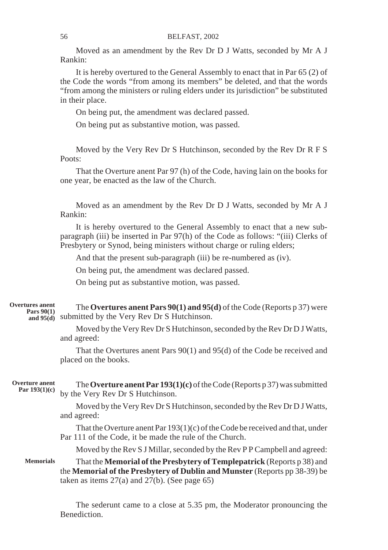Moved as an amendment by the Rev Dr D J Watts, seconded by Mr A J Rankin:

It is hereby overtured to the General Assembly to enact that in Par 65 (2) of the Code the words "from among its members" be deleted, and that the words "from among the ministers or ruling elders under its jurisdiction" be substituted in their place.

On being put, the amendment was declared passed.

On being put as substantive motion, was passed.

Moved by the Very Rev Dr S Hutchinson, seconded by the Rev Dr R F S Poots:

That the Overture anent Par 97 (h) of the Code, having lain on the books for one year, be enacted as the law of the Church.

Moved as an amendment by the Rev Dr D J Watts, seconded by Mr A J Rankin:

It is hereby overtured to the General Assembly to enact that a new subparagraph (iii) be inserted in Par 97(h) of the Code as follows: "(iii) Clerks of Presbytery or Synod, being ministers without charge or ruling elders;

And that the present sub-paragraph (iii) be re-numbered as (iv).

On being put, the amendment was declared passed.

On being put as substantive motion, was passed.

The **Overtures anent Pars 90(1) and 95(d)** of the Code (Reports p 37) were and 95(d) submitted by the Very Rev Dr S Hutchinson. **Overtures anent Pars 90(1)**

> Moved by the Very Rev Dr S Hutchinson, seconded by the Rev Dr D J Watts, and agreed:

> That the Overtures anent Pars 90(1) and 95(d) of the Code be received and placed on the books.

The **Overture anent Par 193(1)(c)** of the Code (Reports p 37) was submitted by the Very Rev Dr S Hutchinson. **Overture anent Par 193(1)(c)**

Moved by the Very Rev Dr S Hutchinson, seconded by the Rev Dr D J Watts, and agreed:

That the Overture anent Par 193(1)(c) of the Code be received and that, under Par 111 of the Code, it be made the rule of the Church.

Moved by the Rev S J Millar, seconded by the Rev P P Campbell and agreed:

That the **Memorial of the Presbytery of Templepatrick** (Reports p 38) and the **Memorial of the Presbytery of Dublin and Munster** (Reports pp 38-39) be taken as items  $27(a)$  and  $27(b)$ . (See page 65) **Memorials**

> The sederunt came to a close at 5.35 pm, the Moderator pronouncing the **Benediction**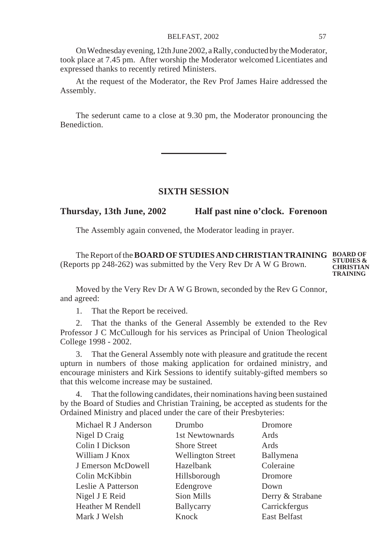On Wednesday evening, 12th June 2002, a Rally, conducted by the Moderator, took place at 7.45 pm. After worship the Moderator welcomed Licentiates and expressed thanks to recently retired Ministers.

At the request of the Moderator, the Rev Prof James Haire addressed the Assembly.

The sederunt came to a close at 9.30 pm, the Moderator pronouncing the Benediction.

## **SIXTH SESSION**

**Thursday, 13th June, 2002 Half past nine o'clock. Forenoon**

The Assembly again convened, the Moderator leading in prayer.

The Report of the **BOARD OF STUDIES AND CHRISTIAN TRAINING BOARD OF** (Reports pp 248-262) was submitted by the Very Rev Dr A W G Brown. **STUDIES & CHRISTIAN TRAINING**

Moved by the Very Rev Dr A W G Brown, seconded by the Rev G Connor, and agreed:

1. That the Report be received.

2. That the thanks of the General Assembly be extended to the Rev Professor J C McCullough for his services as Principal of Union Theological College 1998 - 2002.

3. That the General Assembly note with pleasure and gratitude the recent upturn in numbers of those making application for ordained ministry, and encourage ministers and Kirk Sessions to identify suitably-gifted members so that this welcome increase may be sustained.

That the following candidates, their nominations having been sustained by the Board of Studies and Christian Training, be accepted as students for the Ordained Ministry and placed under the care of their Presbyteries:

| Michael R J Anderson | Drumbo                   | Dromore          |
|----------------------|--------------------------|------------------|
| Nigel D Craig        | 1st Newtownards          | Ards             |
| Colin I Dickson      | <b>Shore Street</b>      | Ards             |
| William J Knox       | <b>Wellington Street</b> | Ballymena        |
| J Emerson McDowell   | Hazelbank                | Coleraine        |
| Colin McKibbin       | Hillsborough             | Dromore          |
| Leslie A Patterson   | Edengrove                | Down             |
| Nigel J E Reid       | Sion Mills               | Derry & Strabane |
| Heather M Rendell    | Ballycarry               | Carrickfergus    |
| Mark J Welsh         | Knock                    | East Belfast     |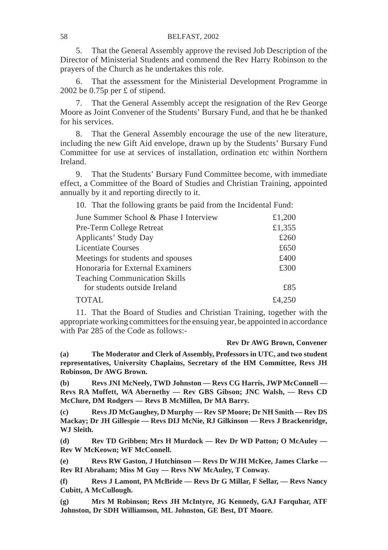5. That the General Assembly approve the revised Job Description of the Director of Ministerial Students and commend the Rev Harry Robinson to the prayers of the Church as he undertakes this role.

6. That the assessment for the Ministerial Development Programme in 2002 be 0.75p per £ of stipend.

7. That the General Assembly accept the resignation of the Rev George Moore as Joint Convener of the Students' Bursary Fund, and that he be thanked for his services.

8. That the General Assembly encourage the use of the new literature, including the new Gift Aid envelope, drawn up by the Students' Bursary Fund Committee for use at services of installation, ordination etc within Northern Ireland.

9. That the Students' Bursary Fund Committee become, with immediate effect, a Committee of the Board of Studies and Christian Training, appointed annually by it and reporting directly to it.

10. That the following grants be paid from the Incidental Fund:

| June Summer School & Phase I Interview | £1,200 |
|----------------------------------------|--------|
| Pre-Term College Retreat               | £1,355 |
| Applicants' Study Day                  | £260   |
| <b>Licentiate Courses</b>              | £650   |
| Meetings for students and spouses      | £400   |
| Honoraria for External Examiners       | £300   |
| <b>Teaching Communication Skills</b>   |        |
| for students outside Ireland           | £85    |
| TOTAL                                  | £4.250 |

11. That the Board of Studies and Christian Training, together with the appropriate working committees for the ensuing year, be appointed in accordance with Par 285 of the Code as follows:-

#### **Rev Dr AWG Brown, Convener**

**(a) The Moderator and Clerk of Assembly, Professors in UTC, and two student representatives, University Chaplains, Secretary of the HM Committee, Revs JH Robinson, Dr AWG Brown.**

**(b) Revs JNI McNeely, TWD Johnston — Revs CG Harris, JWP McConnell — Revs RA Moffett, WA Abernethy — Rev GBS Gibson; JNC Walsh, — Revs CD McClure, DM Rodgers — Revs B McMillen, Dr MA Barry.**

**(c) Revs JD McGaughey, D Murphy — Rev SP Moore; Dr NH Smith — Rev DS Mackay; Dr JH Gillespie — Revs DIJ McNie, RJ Gilkinson — Revs J Brackenridge, WJ Sleith.**

**(d) Rev TD Gribben; Mrs H Murdock — Rev Dr WD Patton; O McAuley — Rev W McKeown; WF McConnell.**

**(e) Revs RW Gaston, J Hutchinson — Revs Dr WJH McKee, James Clarke — Rev RI Abraham; Miss M Guy — Revs NW McAuley, T Conway.**

**(f) Revs J Lamont, PA McBride — Revs Dr G Millar, F Sellar, — Revs Nancy Cubitt, A McCullough.**

**(g) Mrs M Robinson; Revs JH McIntyre, JG Kennedy, GAJ Farquhar, ATF Johnston, Dr SDH Williamson, ML Johnston, GE Best, DT Moore.**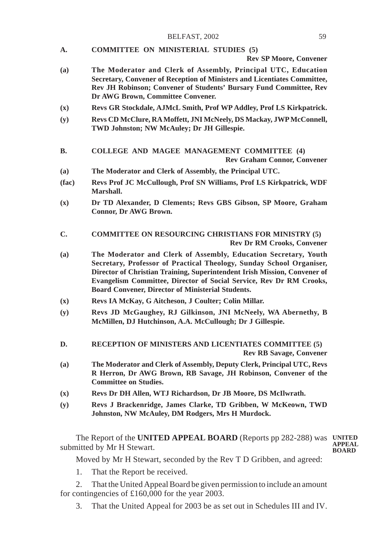**A. COMMITTEE ON MINISTERIAL STUDIES (5)**

**Rev SP Moore, Convener**

- **(a) The Moderator and Clerk of Assembly, Principal UTC, Education Secretary, Convener of Reception of Ministers and Licentiates Committee, Rev JH Robinson; Convener of Students' Bursary Fund Committee, Rev Dr AWG Brown, Committee Convener.**
- **(x) Revs GR Stockdale, AJMcL Smith, Prof WP Addley, Prof LS Kirkpatrick.**
- **(y) Revs CD McClure, RA Moffett, JNI McNeely, DS Mackay, JWP McConnell, TWD Johnston; NW McAuley; Dr JH Gillespie.**
- **B. COLLEGE AND MAGEE MANAGEMENT COMMITTEE (4) Rev Graham Connor, Convener**
- **(a) The Moderator and Clerk of Assembly, the Principal UTC.**
- **(fac) Revs Prof JC McCullough, Prof SN Williams, Prof LS Kirkpatrick, WDF Marshall.**
- **(x) Dr TD Alexander, D Clements; Revs GBS Gibson, SP Moore, Graham Connor, Dr AWG Brown.**
- **C. COMMITTEE ON RESOURCING CHRISTIANS FOR MINISTRY (5) Rev Dr RM Crooks, Convener**
- **(a) The Moderator and Clerk of Assembly, Education Secretary, Youth Secretary, Professor of Practical Theology, Sunday School Organiser, Director of Christian Training, Superintendent Irish Mission, Convener of Evangelism Committee, Director of Social Service, Rev Dr RM Crooks, Board Convener, Director of Ministerial Students.**
- **(x) Revs IA McKay, G Aitcheson, J Coulter; Colin Millar.**
- **(y) Revs JD McGaughey, RJ Gilkinson, JNI McNeely, WA Abernethy, B McMillen, DJ Hutchinson, A.A. McCullough; Dr J Gillespie.**
- **D. RECEPTION OF MINISTERS AND LICENTIATES COMMITTEE (5) Rev RB Savage, Convener**
- **(a) The Moderator and Clerk of Assembly, Deputy Clerk, Principal UTC, Revs R Herron, Dr AWG Brown, RB Savage, JH Robinson, Convener of the Committee on Studies.**
- **(x) Revs Dr DH Allen, WTJ Richardson, Dr JB Moore, DS McIlwrath.**
- **(y) Revs J Brackenridge, James Clarke, TD Gribben, W McKeown, TWD Johnston, NW McAuley, DM Rodgers, Mrs H Murdock.**

The Report of the **UNITED APPEAL BOARD** (Reports pp 282-288) was **UNITED** submitted by Mr H Stewart.

**APPEAL BOARD**

Moved by Mr H Stewart, seconded by the Rev T D Gribben, and agreed:

1. That the Report be received.

2. That the United Appeal Board be given permission to include an amount for contingencies of £160,000 for the year 2003.

3. That the United Appeal for 2003 be as set out in Schedules III and IV.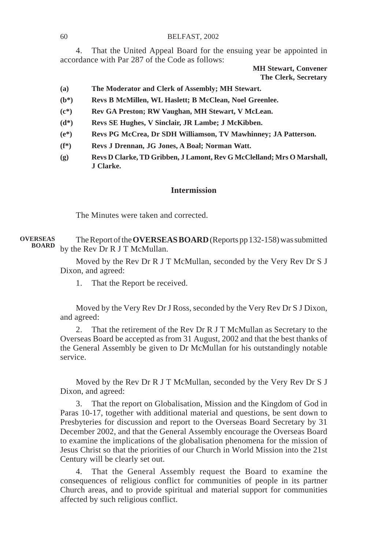4. That the United Appeal Board for the ensuing year be appointed in accordance with Par 287 of the Code as follows:

**MH Stewart, Convener The Clerk, Secretary**

- **(a) The Moderator and Clerk of Assembly; MH Stewart.**
- **(b\*) Revs B McMillen, WL Haslett; B McClean, Noel Greenlee.**
- **(c\*) Rev GA Preston; RW Vaughan, MH Stewart, V McLean.**
- **(d\*) Revs SE Hughes, V Sinclair, JR Lambe; J McKibben.**
- **(e\*) Revs PG McCrea, Dr SDH Williamson, TV Mawhinney; JA Patterson.**
- **(f\*) Revs J Drennan, JG Jones, A Boal; Norman Watt.**
- **(g) Revs D Clarke, TD Gribben, J Lamont, Rev G McClelland; Mrs O Marshall, J Clarke.**

## **Intermission**

The Minutes were taken and corrected.

The Report of the **OVERSEAS BOARD** (Reports pp 132-158) was submitted by the Rev Dr R J T McMullan. **OVERSEAS BOARD**

> Moved by the Rev Dr R J T McMullan, seconded by the Very Rev Dr S J Dixon, and agreed:

1. That the Report be received.

Moved by the Very Rev Dr J Ross, seconded by the Very Rev Dr S J Dixon, and agreed:

2. That the retirement of the Rev Dr R J T McMullan as Secretary to the Overseas Board be accepted as from 31 August, 2002 and that the best thanks of the General Assembly be given to Dr McMullan for his outstandingly notable service.

Moved by the Rev Dr R J T McMullan, seconded by the Very Rev Dr S J Dixon, and agreed:

3. That the report on Globalisation, Mission and the Kingdom of God in Paras 10-17, together with additional material and questions, be sent down to Presbyteries for discussion and report to the Overseas Board Secretary by 31 December 2002, and that the General Assembly encourage the Overseas Board to examine the implications of the globalisation phenomena for the mission of Jesus Christ so that the priorities of our Church in World Mission into the 21st Century will be clearly set out.

4. That the General Assembly request the Board to examine the consequences of religious conflict for communities of people in its partner Church areas, and to provide spiritual and material support for communities affected by such religious conflict.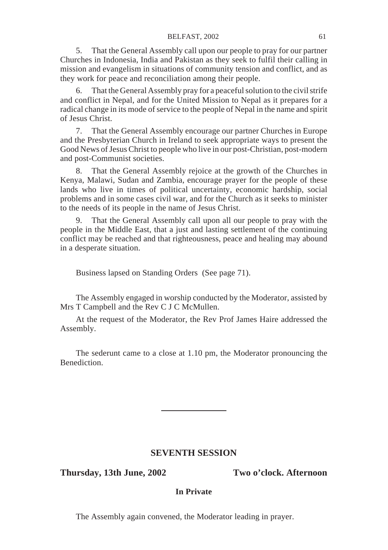#### BELFAST, 2002 61

5. That the General Assembly call upon our people to pray for our partner Churches in Indonesia, India and Pakistan as they seek to fulfil their calling in mission and evangelism in situations of community tension and conflict, and as they work for peace and reconciliation among their people.

6. That the General Assembly pray for a peaceful solution to the civil strife and conflict in Nepal, and for the United Mission to Nepal as it prepares for a radical change in its mode of service to the people of Nepal in the name and spirit of Jesus Christ.

7. That the General Assembly encourage our partner Churches in Europe and the Presbyterian Church in Ireland to seek appropriate ways to present the Good News of Jesus Christ to people who live in our post-Christian, post-modern and post-Communist societies.

8. That the General Assembly rejoice at the growth of the Churches in Kenya, Malawi, Sudan and Zambia, encourage prayer for the people of these lands who live in times of political uncertainty, economic hardship, social problems and in some cases civil war, and for the Church as it seeks to minister to the needs of its people in the name of Jesus Christ.

9. That the General Assembly call upon all our people to pray with the people in the Middle East, that a just and lasting settlement of the continuing conflict may be reached and that righteousness, peace and healing may abound in a desperate situation.

Business lapsed on Standing Orders (See page 71).

The Assembly engaged in worship conducted by the Moderator, assisted by Mrs T Campbell and the Rev C J C McMullen.

At the request of the Moderator, the Rev Prof James Haire addressed the Assembly.

The sederunt came to a close at 1.10 pm, the Moderator pronouncing the Benediction.

## **SEVENTH SESSION**

**Thursday, 13th June, 2002 Two o'clock. Afternoon**

## **In Private**

The Assembly again convened, the Moderator leading in prayer.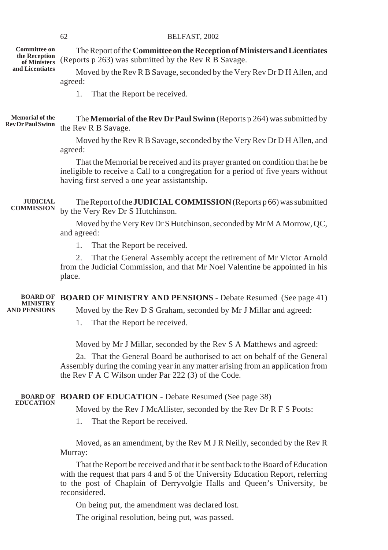#### 62 BELFAST, 2002

**Committee on the Reception of Ministers and Licentiates** The Report of the **Committee on the Reception of Ministers and Licentiates** (Reports p 263) was submitted by the Rev R B Savage. Moved by the Rev R B Savage, seconded by the Very Rev Dr D H Allen, and agreed:

1. That the Report be received.

The **Memorial of the Rev Dr Paul Swinn** (Reports p 264) was submitted by the Rev R B Savage. **Memorial of the Rev Dr Paul Swinn**

> Moved by the Rev R B Savage, seconded by the Very Rev Dr D H Allen, and agreed:

> That the Memorial be received and its prayer granted on condition that he be ineligible to receive a Call to a congregation for a period of five years without having first served a one year assistantship.

The Report of the **JUDICIAL COMMISSION** (Reports p 66) was submitted by the Very Rev Dr S Hutchinson. **JUDICIAL COMMISSION**

> Moved by the Very Rev Dr S Hutchinson, seconded by Mr M A Morrow, QC, and agreed:

1. That the Report be received.

2. That the General Assembly accept the retirement of Mr Victor Arnold from the Judicial Commission, and that Mr Noel Valentine be appointed in his place.

**BOARD OF MINISTRY AND PENSIONS** - Debate Resumed (See page 41) **BOARD OF** Moved by the Rev D S Graham, seconded by Mr J Millar and agreed: **MINISTRY AND PENSIONS**

1. That the Report be received.

Moved by Mr J Millar, seconded by the Rev S A Matthews and agreed:

2a. That the General Board be authorised to act on behalf of the General Assembly during the coming year in any matter arising from an application from the Rev F A C Wilson under Par 222 (3) of the Code.

**BOARD OF EDUCATION** - Debate Resumed (See page 38) **BOARD OF EDUCATION**

Moved by the Rev J McAllister, seconded by the Rev Dr R F S Poots:

1. That the Report be received.

Moved, as an amendment, by the Rev M J R Neilly, seconded by the Rev R Murray:

That the Report be received and that it be sent back to the Board of Education with the request that pars 4 and 5 of the University Education Report, referring to the post of Chaplain of Derryvolgie Halls and Queen's University, be reconsidered.

On being put, the amendment was declared lost.

The original resolution, being put, was passed.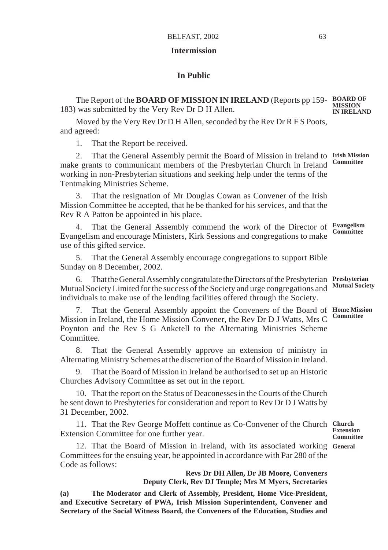## **Intermission**

## **In Public**

The Report of the **BOARD OF MISSION IN IRELAND** (Reports pp 159- **BOARD OF** 183) was submitted by the Very Rev Dr D H Allen. **MISSION IN IRELAND**

Moved by the Very Rev Dr D H Allen, seconded by the Rev Dr R F S Poots, and agreed:

1. That the Report be received.

2. That the General Assembly permit the Board of Mission in Ireland to Irish Mission make grants to communicant members of the Presbyterian Church in Ireland working in non-Presbyterian situations and seeking help under the terms of the Tentmaking Ministries Scheme. **Committee**

That the resignation of Mr Douglas Cowan as Convener of the Irish Mission Committee be accepted, that he be thanked for his services, and that the Rev R A Patton be appointed in his place.

4. That the General Assembly commend the work of the Director of **Evangelism** Evangelism and encourage Ministers, Kirk Sessions and congregations to make use of this gifted service. **Committee**

5. That the General Assembly encourage congregations to support Bible Sunday on 8 December, 2002.

6. That the General Assembly congratulate the Directors of the Presbyterian **Presbyterian** Mutual Society Limited for the success of the Society and urge congregations and individuals to make use of the lending facilities offered through the Society.

7. That the General Assembly appoint the Conveners of the Board of Home Mission Mission in Ireland, the Home Mission Convener, the Rev Dr D J Watts, Mrs C Poynton and the Rev S G Anketell to the Alternating Ministries Scheme Committee.

8. That the General Assembly approve an extension of ministry in Alternating Ministry Schemes at the discretion of the Board of Mission in Ireland.

9. That the Board of Mission in Ireland be authorised to set up an Historic Churches Advisory Committee as set out in the report.

10. That the report on the Status of Deaconesses in the Courts of the Church be sent down to Presbyteries for consideration and report to Rev Dr D J Watts by 31 December, 2002.

11. That the Rev George Moffett continue as Co-Convener of the Church **Church** Extension Committee for one further year.

12. That the Board of Mission in Ireland, with its associated working **General**Committees for the ensuing year, be appointed in accordance with Par 280 of the Code as follows:

> **Revs Dr DH Allen, Dr JB Moore, Conveners Deputy Clerk, Rev DJ Temple; Mrs M Myers, Secretaries**

**(a) The Moderator and Clerk of Assembly, President, Home Vice-President, and Executive Secretary of PWA, Irish Mission Superintendent, Convener and Secretary of the Social Witness Board, the Conveners of the Education, Studies and**

**Mutual Society**

**Committee**

**Extension Committee**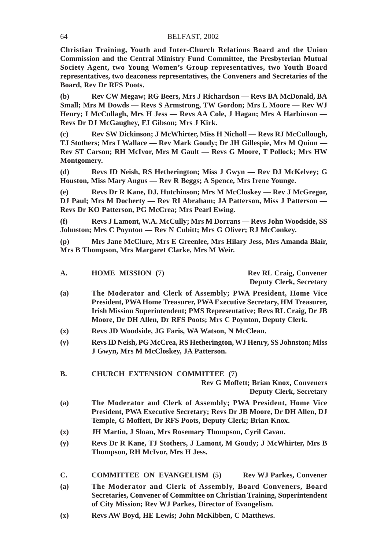#### 64 BELFAST, 2002

**Christian Training, Youth and Inter-Church Relations Board and the Union Commission and the Central Ministry Fund Committee, the Presbyterian Mutual Society Agent, two Young Women's Group representatives, two Youth Board representatives, two deaconess representatives, the Conveners and Secretaries of the Board, Rev Dr RFS Poots.**

**(b) Rev CW Megaw; RG Beers, Mrs J Richardson — Revs BA McDonald, BA Small; Mrs M Dowds — Revs S Armstrong, TW Gordon; Mrs L Moore — Rev WJ Henry; I McCullagh, Mrs H Jess — Revs AA Cole, J Hagan; Mrs A Harbinson — Revs Dr DJ McGaughey, FJ Gibson; Mrs J Kirk.**

**(c) Rev SW Dickinson; J McWhirter, Miss H Nicholl — Revs RJ McCullough, TJ Stothers; Mrs I Wallace — Rev Mark Goudy; Dr JH Gillespie, Mrs M Quinn — Rev ST Carson; RH McIvor, Mrs M Gault — Revs G Moore, T Pollock; Mrs HW Montgomery.**

**(d) Revs ID Neish, RS Hetherington; Miss J Gwyn — Rev DJ McKelvey; G Houston, Miss Mary Angus — Rev R Beggs; A Spence, Mrs Irene Younge.**

**(e) Revs Dr R Kane, DJ. Hutchinson; Mrs M McCloskey — Rev J McGregor, DJ Paul; Mrs M Docherty — Rev RI Abraham; JA Patterson, Miss J Patterson — Revs Dr KO Patterson, PG McCrea; Mrs Pearl Ewing.**

**(f) Revs J Lamont, W.A. McCully; Mrs M Dorrans — Revs John Woodside, SS Johnston; Mrs C Poynton — Rev N Cubitt; Mrs G Oliver; RJ McConkey.**

**(p) Mrs Jane McClure, Mrs E Greenlee, Mrs Hilary Jess, Mrs Amanda Blair, Mrs B Thompson, Mrs Margaret Clarke, Mrs M Weir.**

| A. | <b>HOME MISSION (7)</b> |  |
|----|-------------------------|--|
|----|-------------------------|--|

**Rev RL Craig, Convener Deputy Clerk, Secretary**

- **(a) The Moderator and Clerk of Assembly; PWA President, Home Vice President, PWA Home Treasurer, PWA Executive Secretary, HM Treasurer, Irish Mission Superintendent; PMS Representative; Revs RL Craig, Dr JB Moore, Dr DH Allen, Dr RFS Poots; Mrs C Poynton, Deputy Clerk.**
- **(x) Revs JD Woodside, JG Faris, WA Watson, N McClean.**
- **(y) Revs ID Neish, PG McCrea, RS Hetherington, WJ Henry, SS Johnston; Miss J Gwyn, Mrs M McCloskey, JA Patterson.**

### **B. CHURCH EXTENSION COMMITTEE (7)**

**Rev G Moffett; Brian Knox, Conveners Deputy Clerk, Secretary**

- **(a) The Moderator and Clerk of Assembly; PWA President, Home Vice President, PWA Executive Secretary; Revs Dr JB Moore, Dr DH Allen, DJ Temple, G Moffett, Dr RFS Poots, Deputy Clerk; Brian Knox.**
- **(x) JH Martin, J Sloan, Mrs Rosemary Thompson, Cyril Cavan.**
- **(y) Revs Dr R Kane, TJ Stothers, J Lamont, M Goudy; J McWhirter, Mrs B Thompson, RH McIvor, Mrs H Jess.**
- **C. COMMITTEE ON EVANGELISM (5) Rev WJ Parkes, Convener**
- **(a) The Moderator and Clerk of Assembly, Board Conveners, Board Secretaries, Convener of Committee on Christian Training, Superintendent of City Mission; Rev WJ Parkes, Director of Evangelism.**
- **(x) Revs AW Boyd, HE Lewis; John McKibben, C Matthews.**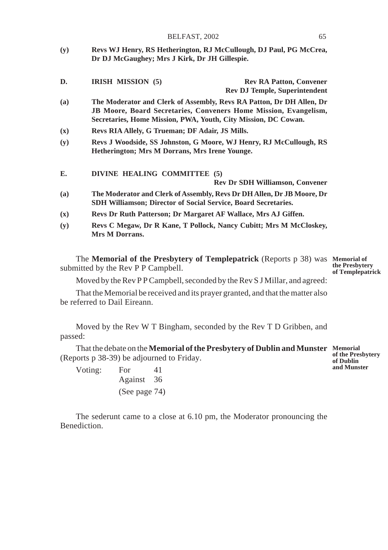|     | BELFAST, 2002                                                                                                                                                                                              | 65                                                                     |  |
|-----|------------------------------------------------------------------------------------------------------------------------------------------------------------------------------------------------------------|------------------------------------------------------------------------|--|
| (y) | Revs WJ Henry, RS Hetherington, RJ McCullough, DJ Paul, PG McCrea,<br>Dr DJ McGaughey; Mrs J Kirk, Dr JH Gillespie.                                                                                        |                                                                        |  |
| D.  | IRISH MISSION (5)                                                                                                                                                                                          | <b>Rev RA Patton, Convener</b><br><b>Rev DJ Temple, Superintendent</b> |  |
| (a) | The Moderator and Clerk of Assembly, Revs RA Patton, Dr DH Allen, Dr<br>JB Moore, Board Secretaries, Conveners Home Mission, Evangelism,<br>Secretaries, Home Mission, PWA, Youth, City Mission, DC Cowan. |                                                                        |  |
| (x) | Revs RIA Allely, G Trueman; DF Adair, JS Mills.                                                                                                                                                            |                                                                        |  |
| (y) | Revs J Woodside, SS Johnston, G Moore, WJ Henry, RJ McCullough, RS<br>Hetherington; Mrs M Dorrans, Mrs Irene Younge.                                                                                       |                                                                        |  |
| Е.  | DIVINE HEALING COMMITTEE (5)                                                                                                                                                                               | <b>Rev Dr SDH Williamson, Convener</b>                                 |  |
| (a) | The Moderator and Clerk of Assembly, Revs Dr DH Allen, Dr JB Moore, Dr<br>SDH Williamson; Director of Social Service, Board Secretaries.                                                                   |                                                                        |  |
| (x) | Revs Dr Ruth Patterson; Dr Margaret AF Wallace, Mrs AJ Giffen.                                                                                                                                             |                                                                        |  |
| (y) | Revs C Megaw, Dr R Kane, T Pollock, Nancy Cubitt; Mrs M McCloskey,<br>Mrs M Dorrans.                                                                                                                       |                                                                        |  |

The **Memorial of the Presbytery of Templepatrick** (Reports p 38) was **Memorial of** submitted by the Rev P P Campbell. **the Presbytery of Templepatrick**

Moved by the Rev P P Campbell, seconded by the Rev S J Millar, and agreed:

That the Memorial be received and its prayer granted, and that the matter also be referred to Dail Eireann.

Moved by the Rev W T Bingham, seconded by the Rev T D Gribben, and passed:

That the debate on the **Memorial of the Presbytery of Dublin and Munster Memorial** (Reports p 38-39) be adjourned to Friday.

**of the Presbytery of Dublin and Munster**

Voting: For 41 Against 36 (See page 74)

The sederunt came to a close at 6.10 pm, the Moderator pronouncing the Benediction.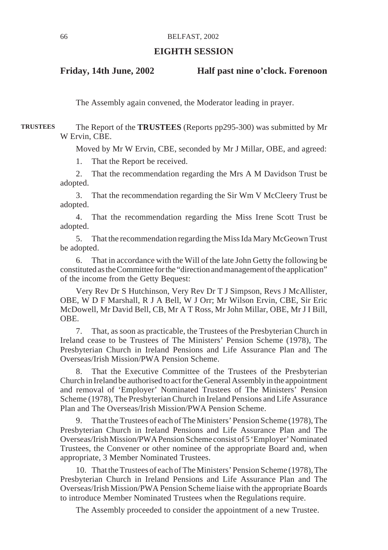# **EIGHTH SESSION**

## **Friday, 14th June, 2002 Half past nine o'clock. Forenoon**

The Assembly again convened, the Moderator leading in prayer.

The Report of the **TRUSTEES** (Reports pp295-300) was submitted by Mr W Ervin, CBE. **TRUSTEES**

Moved by Mr W Ervin, CBE, seconded by Mr J Millar, OBE, and agreed:

1. That the Report be received.

2. That the recommendation regarding the Mrs A M Davidson Trust be adopted.

3. That the recommendation regarding the Sir Wm V McCleery Trust be adopted.

4. That the recommendation regarding the Miss Irene Scott Trust be adopted.

5. That the recommendation regarding the Miss Ida Mary McGeown Trust be adopted.

6. That in accordance with the Will of the late John Getty the following be constituted as the Committee for the "direction and management of the application" of the income from the Getty Bequest:

Very Rev Dr S Hutchinson, Very Rev Dr T J Simpson, Revs J McAllister, OBE, W D F Marshall, R J A Bell, W J Orr; Mr Wilson Ervin, CBE, Sir Eric McDowell, Mr David Bell, CB, Mr A T Ross, Mr John Millar, OBE, Mr J I Bill, OBE.

7. That, as soon as practicable, the Trustees of the Presbyterian Church in Ireland cease to be Trustees of The Ministers' Pension Scheme (1978), The Presbyterian Church in Ireland Pensions and Life Assurance Plan and The Overseas/Irish Mission/PWA Pension Scheme.

8. That the Executive Committee of the Trustees of the Presbyterian Church in Ireland be authorised to act for the General Assembly in the appointment and removal of 'Employer' Nominated Trustees of The Ministers' Pension Scheme (1978), The Presbyterian Church in Ireland Pensions and Life Assurance Plan and The Overseas/Irish Mission/PWA Pension Scheme.

9. That the Trustees of each of The Ministers' Pension Scheme (1978), The Presbyterian Church in Ireland Pensions and Life Assurance Plan and The Overseas/Irish Mission/PWA Pension Scheme consist of 5 'Employer' Nominated Trustees, the Convener or other nominee of the appropriate Board and, when appropriate, 3 Member Nominated Trustees.

10. That the Trustees of each of The Ministers' Pension Scheme (1978), The Presbyterian Church in Ireland Pensions and Life Assurance Plan and The Overseas/Irish Mission/PWA Pension Scheme liaise with the appropriate Boards to introduce Member Nominated Trustees when the Regulations require.

The Assembly proceeded to consider the appointment of a new Trustee.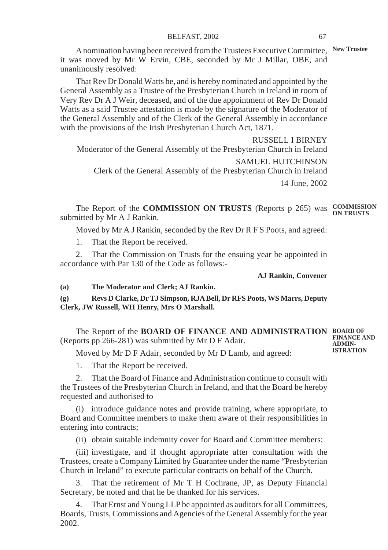A nomination having been received from the Trustees Executive Committee, **New Trustee** it was moved by Mr W Ervin, CBE, seconded by Mr J Millar, OBE, and unanimously resolved:

That Rev Dr Donald Watts be, and is hereby nominated and appointed by the General Assembly as a Trustee of the Presbyterian Church in Ireland in room of Very Rev Dr A J Weir, deceased, and of the due appointment of Rev Dr Donald Watts as a said Trustee attestation is made by the signature of the Moderator of the General Assembly and of the Clerk of the General Assembly in accordance with the provisions of the Irish Presbyterian Church Act, 1871.

RUSSELL I BIRNEY Moderator of the General Assembly of the Presbyterian Church in Ireland SAMUEL HUTCHINSON Clerk of the General Assembly of the Presbyterian Church in Ireland 14 June, 2002

The Report of the **COMMISSION ON TRUSTS** (Reports p 265) was **COMMISSION** submitted by Mr A J Rankin. **ON TRUSTS**

Moved by Mr A J Rankin, seconded by the Rev Dr R F S Poots, and agreed:

1. That the Report be received.

2. That the Commission on Trusts for the ensuing year be appointed in accordance with Par 130 of the Code as follows:-

**AJ Rankin, Convener**

**(a) The Moderator and Clerk; AJ Rankin.**

**(g) Revs D Clarke, Dr TJ Simpson, RJA Bell, Dr RFS Poots, WS Marrs, Deputy Clerk, JW Russell, WH Henry, Mrs O Marshall.**

The Report of the **BOARD OF FINANCE AND ADMINISTRATION BOARD OF** (Reports pp 266-281) was submitted by Mr D F Adair.

Moved by Mr D F Adair, seconded by Mr D Lamb, and agreed:

1. That the Report be received.

2. That the Board of Finance and Administration continue to consult with the Trustees of the Presbyterian Church in Ireland, and that the Board be hereby requested and authorised to

(i) introduce guidance notes and provide training, where appropriate, to Board and Committee members to make them aware of their responsibilities in entering into contracts;

(ii) obtain suitable indemnity cover for Board and Committee members;

(iii) investigate, and if thought appropriate after consultation with the Trustees, create a Company Limited by Guarantee under the name "Presbyterian Church in Ireland" to execute particular contracts on behalf of the Church.

3. That the retirement of Mr T H Cochrane, JP, as Deputy Financial Secretary, be noted and that he be thanked for his services.

4. That Ernst and Young LLP be appointed as auditors for all Committees, Boards, Trusts, Commissions and Agencies of the General Assembly for the year 2002.

**FINANCE AND ADMIN-ISTRATION**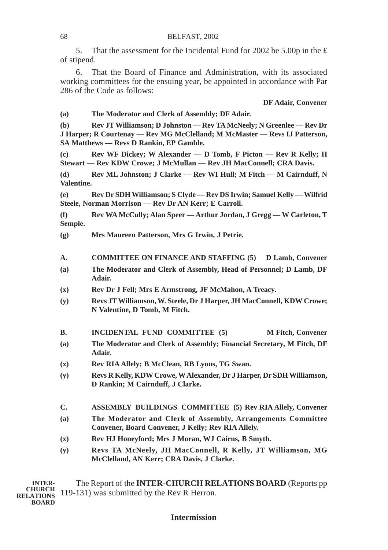5. That the assessment for the Incidental Fund for 2002 be 5.00p in the £ of stipend.

6. That the Board of Finance and Administration, with its associated working committees for the ensuing year, be appointed in accordance with Par 286 of the Code as follows:

**DF Adair, Convener**

**(a) The Moderator and Clerk of Assembly; DF Adair.**

**(b) Rev JT Williamson; D Johnston — Rev TA McNeely; N Greenlee — Rev Dr J Harper; R Courtenay — Rev MG McClelland; M McMaster — Revs IJ Patterson, SA Matthews — Revs D Rankin, EP Gamble.**

**(c) Rev WF Dickey; W Alexander — D Tomb, F Picton — Rev R Kelly; H Stewart — Rev KDW Crowe; J McMullan — Rev JH MacConnell; CRA Davis.**

**(d) Rev ML Johnston; J Clarke — Rev WI Hull; M Fitch — M Cairnduff, N Valentine.**

**(e) Rev Dr SDH Williamson; S Clyde — Rev DS Irwin; Samuel Kelly — Wilfrid Steele, Norman Morrison — Rev Dr AN Kerr; E Carroll.**

**(f) Rev WA McCully; Alan Speer — Arthur Jordan, J Gregg — W Carleton, T Semple.**

- **(g) Mrs Maureen Patterson, Mrs G Irwin, J Petrie.**
- **A. COMMITTEE ON FINANCE AND STAFFING (5) D Lamb, Convener**
- **(a) The Moderator and Clerk of Assembly, Head of Personnel; D Lamb, DF Adair.**
- **(x) Rev Dr J Fell; Mrs E Armstrong, JF McMahon, A Treacy.**
- **(y) Revs JT Williamson, W. Steele, Dr J Harper, JH MacConnell, KDW Crowe; N Valentine, D Tomb, M Fitch.**
- **B.** INCIDENTAL FUND COMMITTEE (5) M Fitch, Convener
- **(a) The Moderator and Clerk of Assembly; Financial Secretary, M Fitch, DF Adair.**
- **(x) Rev RIA Allely; B McClean, RB Lyons, TG Swan.**
- **(y) Revs R Kelly, KDW Crowe, W Alexander, Dr J Harper, Dr SDH Williamson, D Rankin; M Cairnduff, J Clarke.**
- **C. ASSEMBLY BUILDINGS COMMITTEE (5) Rev RIA Allely, Convener**
- **(a) The Moderator and Clerk of Assembly, Arrangements Committee Convener, Board Convener, J Kelly; Rev RIA Allely.**
- **(x) Rev HJ Honeyford; Mrs J Moran, WJ Cairns, B Smyth.**
- **(y) Revs TA McNeely, JH MacConnell, R Kelly, JT Williamson, MG McClelland, AN Kerr; CRA Davis, J Clarke.**

The Report of the **INTER-CHURCH RELATIONS BOARD** (Reports pp 119-131) was submitted by the Rev R Herron. **INTER-CHURCH RELATIONS BOARD**

## **Intermission**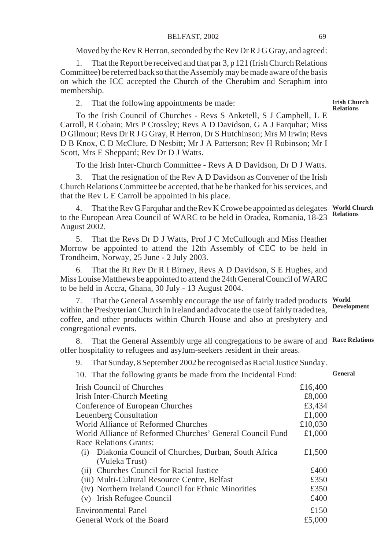Moved by the Rev R Herron, seconded by the Rev Dr R J G Gray, and agreed:

1. That the Report be received and that par 3, p 121 (Irish Church Relations Committee) be referred back so that the Assembly may be made aware of the basis on which the ICC accepted the Church of the Cherubim and Seraphim into membership.

2. That the following appointments be made:

To the Irish Council of Churches - Revs S Anketell, S J Campbell, L E Carroll, R Cobain; Mrs P Crossley; Revs A D Davidson, G A J Farquhar; Miss D Gilmour; Revs Dr R J G Gray, R Herron, Dr S Hutchinson; Mrs M Irwin; Revs D B Knox, C D McClure, D Nesbitt; Mr J A Patterson; Rev H Robinson; Mr I Scott, Mrs E Sheppard; Rev Dr D J Watts.

To the Irish Inter-Church Committee - Revs A D Davidson, Dr D J Watts.

3. That the resignation of the Rev A D Davidson as Convener of the Irish Church Relations Committee be accepted, that he be thanked for his services, and that the Rev L E Carroll be appointed in his place.

4. That the Rev G Farquhar and the Rev K Crowe be appointed as delegates World Church to the European Area Council of WARC to be held in Oradea, Romania, 18-23 August 2002. **Relations**

5. That the Revs Dr D J Watts, Prof J C McCullough and Miss Heather Morrow be appointed to attend the 12th Assembly of CEC to be held in Trondheim, Norway, 25 June - 2 July 2003.

6. That the Rt Rev Dr R I Birney, Revs A D Davidson, S E Hughes, and Miss Louise Matthews be appointed to attend the 24th General Council of WARC to be held in Accra, Ghana, 30 July - 13 August 2004.

7. That the General Assembly encourage the use of fairly traded products within the Presbyterian Church in Ireland and advocate the use of fairly traded tea, coffee, and other products within Church House and also at presbytery and congregational events. **World Development**

8. That the General Assembly urge all congregations to be aware of and **Race Relations** offer hospitality to refugees and asylum-seekers resident in their areas.

9. That Sunday, 8 September 2002 be recognised as Racial Justice Sunday.

|  | 10. That the following grants be made from the Incidental Fund: |  |  |  |  |  |
|--|-----------------------------------------------------------------|--|--|--|--|--|
|--|-----------------------------------------------------------------|--|--|--|--|--|

| Irish Council of Churches                                 | £16,400 |  |
|-----------------------------------------------------------|---------|--|
| Irish Inter-Church Meeting                                |         |  |
| Conference of European Churches                           | £3,434  |  |
| Leuenberg Consultation                                    | £1,000  |  |
| World Alliance of Reformed Churches                       | £10,030 |  |
| World Alliance of Reformed Churches' General Council Fund | £1,000  |  |
| Race Relations Grants:                                    |         |  |
| (i) Diakonia Council of Churches, Durban, South Africa    | £1,500  |  |
| (Vuleka Trust)                                            |         |  |
| (ii) Churches Council for Racial Justice                  | £400    |  |
| (iii) Multi-Cultural Resource Centre, Belfast             | £350    |  |
| (iv) Northern Ireland Council for Ethnic Minorities       | £350    |  |
| (v) Irish Refugee Council                                 | £400    |  |
| <b>Environmental Panel</b>                                |         |  |
| General Work of the Board                                 | £5.000  |  |

#### **Irish Church Relations**

**General**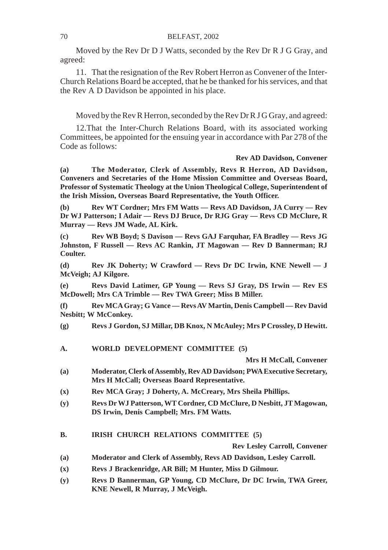Moved by the Rev Dr D J Watts, seconded by the Rev Dr R J G Gray, and agreed:

11. That the resignation of the Rev Robert Herron as Convener of the Inter-Church Relations Board be accepted, that he be thanked for his services, and that the Rev A D Davidson be appointed in his place.

Moved by the Rev R Herron, seconded by the Rev Dr R J G Gray, and agreed:

12.That the Inter-Church Relations Board, with its associated working Committees, be appointed for the ensuing year in accordance with Par 278 of the Code as follows:

#### **Rev AD Davidson, Convener**

**(a) The Moderator, Clerk of Assembly, Revs R Herron, AD Davidson, Conveners and Secretaries of the Home Mission Committee and Overseas Board, Professor of Systematic Theology at the Union Theological College, Superintendent of the Irish Mission, Overseas Board Representative, the Youth Officer.**

**(b) Rev WT Cordner; Mrs FM Watts — Revs AD Davidson, JA Curry — Rev Dr WJ Patterson; I Adair — Revs DJ Bruce, Dr RJG Gray — Revs CD McClure, R Murray — Revs JM Wade, AL Kirk.**

**(c) Rev WB Boyd; S Davison — Revs GAJ Farquhar, FA Bradley — Revs JG Johnston, F Russell — Revs AC Rankin, JT Magowan — Rev D Bannerman; RJ Coulter.**

**(d) Rev JK Doherty; W Crawford — Revs Dr DC Irwin, KNE Newell — J McVeigh; AJ Kilgore.**

**(e) Revs David Latimer, GP Young — Revs SJ Gray, DS Irwin — Rev ES McDowell; Mrs CA Trimble — Rev TWA Greer; Miss B Miller.**

**(f) Rev MCA Gray; G Vance — Revs AV Martin, Denis Campbell — Rev David Nesbitt; W McConkey.**

- **(g) Revs J Gordon, SJ Millar, DB Knox, N McAuley; Mrs P Crossley, D Hewitt.**
- **A. WORLD DEVELOPMENT COMMITTEE (5)**

**Mrs H McCall, Convener**

- **(a) Moderator, Clerk of Assembly, Rev AD Davidson; PWA Executive Secretary, Mrs H McCall; Overseas Board Representative.**
- **(x) Rev MCA Gray; J Doherty, A. McCreary, Mrs Sheila Phillips.**
- **(y) Revs Dr WJ Patterson, WT Cordner, CD McClure, D Nesbitt, JT Magowan, DS Irwin, Denis Campbell; Mrs. FM Watts.**
- **B. IRISH CHURCH RELATIONS COMMITTEE (5)**

**Rev Lesley Carroll, Convener**

- **(a) Moderator and Clerk of Assembly, Revs AD Davidson, Lesley Carroll.**
- **(x) Revs J Brackenridge, AR Bill; M Hunter, Miss D Gilmour.**
- **(y) Revs D Bannerman, GP Young, CD McClure, Dr DC Irwin, TWA Greer, KNE Newell, R Murray, J McVeigh.**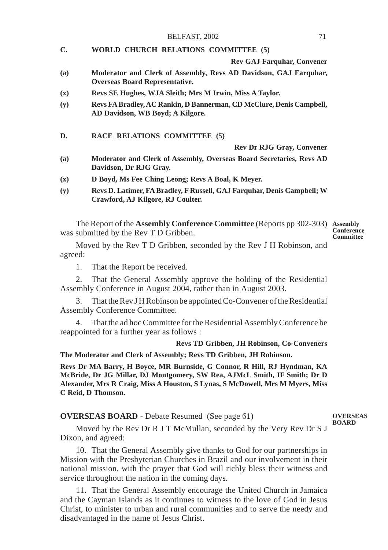## **C. WORLD CHURCH RELATIONS COMMITTEE (5)**

**Rev GAJ Farquhar, Convener**

- **(a) Moderator and Clerk of Assembly, Revs AD Davidson, GAJ Farquhar, Overseas Board Representative.**
- **(x) Revs SE Hughes, WJA Sleith; Mrs M Irwin, Miss A Taylor.**
- **(y) Revs FA Bradley, AC Rankin, D Bannerman, CD McClure, Denis Campbell, AD Davidson, WB Boyd; A Kilgore.**
- **D. RACE RELATIONS COMMITTEE (5)**

**Rev Dr RJG Gray, Convener**

- **(a) Moderator and Clerk of Assembly, Overseas Board Secretaries, Revs AD Davidson, Dr RJG Gray.**
- **(x) D Boyd, Ms Fee Ching Leong; Revs A Boal, K Meyer.**
- **(y) Revs D. Latimer, FA Bradley, F Russell, GAJ Farquhar, Denis Campbell; W Crawford, AJ Kilgore, RJ Coulter.**

The Report of the **Assembly Conference Committee** (Reports pp 302-303) **Assembly** was submitted by the Rev T D Gribben. **Conference Committee**

Moved by the Rev T D Gribben, seconded by the Rev J H Robinson, and agreed:

1. That the Report be received.

2. That the General Assembly approve the holding of the Residential Assembly Conference in August 2004, rather than in August 2003.

3. That the Rev J H Robinson be appointed Co-Convener of the Residential Assembly Conference Committee.

4. That the ad hoc Committee for the Residential Assembly Conference be reappointed for a further year as follows :

#### **Revs TD Gribben, JH Robinson, Co-Conveners**

**The Moderator and Clerk of Assembly; Revs TD Gribben, JH Robinson.**

**Revs Dr MA Barry, H Boyce, MR Burnside, G Connor, R Hill, RJ Hyndman, KA McBride, Dr JG Millar, DJ Montgomery, SW Rea, AJMcL Smith, IF Smith; Dr D Alexander, Mrs R Craig, Miss A Houston, S Lynas, S McDowell, Mrs M Myers, Miss C Reid, D Thomson.**

#### **OVERSEAS BOARD** - Debate Resumed (See page 61)

#### **OVERSEAS BOARD**

Moved by the Rev Dr R J T McMullan, seconded by the Very Rev Dr S J Dixon, and agreed:

10. That the General Assembly give thanks to God for our partnerships in Mission with the Presbyterian Churches in Brazil and our involvement in their national mission, with the prayer that God will richly bless their witness and service throughout the nation in the coming days.

11. That the General Assembly encourage the United Church in Jamaica and the Cayman Islands as it continues to witness to the love of God in Jesus Christ, to minister to urban and rural communities and to serve the needy and disadvantaged in the name of Jesus Christ.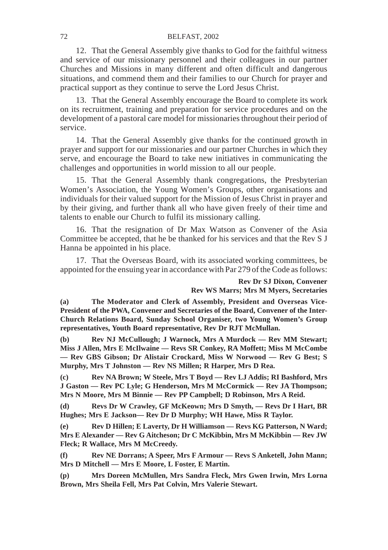#### 72 BELFAST, 2002

12. That the General Assembly give thanks to God for the faithful witness and service of our missionary personnel and their colleagues in our partner Churches and Missions in many different and often difficult and dangerous situations, and commend them and their families to our Church for prayer and practical support as they continue to serve the Lord Jesus Christ.

13. That the General Assembly encourage the Board to complete its work on its recruitment, training and preparation for service procedures and on the development of a pastoral care model for missionaries throughout their period of service.

14. That the General Assembly give thanks for the continued growth in prayer and support for our missionaries and our partner Churches in which they serve, and encourage the Board to take new initiatives in communicating the challenges and opportunities in world mission to all our people.

15. That the General Assembly thank congregations, the Presbyterian Women's Association, the Young Women's Groups, other organisations and individuals for their valued support for the Mission of Jesus Christ in prayer and by their giving, and further thank all who have given freely of their time and talents to enable our Church to fulfil its missionary calling.

16. That the resignation of Dr Max Watson as Convener of the Asia Committee be accepted, that he be thanked for his services and that the Rev S J Hanna be appointed in his place.

17. That the Overseas Board, with its associated working committees, be appointed for the ensuing year in accordance with Par 279 of the Code as follows:

#### **Rev Dr SJ Dixon, Convener Rev WS Marrs; Mrs M Myers, Secretaries**

**(a) The Moderator and Clerk of Assembly, President and Overseas Vice-President of the PWA, Convener and Secretaries of the Board, Convener of the Inter-Church Relations Board, Sunday School Organiser, two Young Women's Group representatives, Youth Board representative, Rev Dr RJT McMullan.**

**(b) Rev NJ McCullough; J Warnock, Mrs A Murdock — Rev MM Stewart; Miss J Allen, Mrs E McIlwaine — Revs SR Conkey, RA Moffett; Miss M McCombe — Rev GBS Gibson; Dr Alistair Crockard, Miss W Norwood — Rev G Best; S Murphy, Mrs T Johnston — Rev NS Millen; R Harper, Mrs D Rea.**

**(c) Rev NA Brown; W Steele, Mrs T Boyd — Rev LJ Addis; RI Bashford, Mrs J Gaston — Rev PC Lyle; G Henderson, Mrs M McCormick — Rev JA Thompson; Mrs N Moore, Mrs M Binnie — Rev PP Campbell; D Robinson, Mrs A Reid.**

**(d) Revs Dr W Crawley, GF McKeown; Mrs D Smyth, — Revs Dr I Hart, BR Hughes; Mrs E Jackson— Rev Dr D Murphy; WH Hawe, Miss R Taylor.**

**(e) Rev D Hillen; E Laverty, Dr H Williamson — Revs KG Patterson, N Ward; Mrs E Alexander — Rev G Aitcheson; Dr C McKibbin, Mrs M McKibbin — Rev JW Fleck; R Wallace, Mrs M McCreedy.**

**(f) Rev NE Dorrans; A Speer, Mrs F Armour — Revs S Anketell, John Mann; Mrs D Mitchell — Mrs E Moore, L Foster, E Martin.**

**(p) Mrs Doreen McMullen, Mrs Sandra Fleck, Mrs Gwen Irwin, Mrs Lorna Brown, Mrs Sheila Fell, Mrs Pat Colvin, Mrs Valerie Stewart.**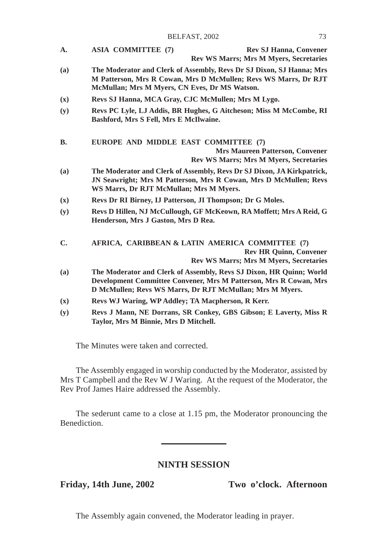| А.  | <b>ASIA COMMITTEE (7)</b> | <b>Rev SJ Hanna, Convener</b>                                        |
|-----|---------------------------|----------------------------------------------------------------------|
|     |                           | <b>Rev WS Marrs: Mrs M Myers, Secretaries</b>                        |
| (a) |                           | The Moderator and Clerk of Assembly, Revs Dr SJ Dixon, SJ Hanna; Mrs |
|     |                           | M Patterson, Mrs R Cowan, Mrs D McMullen; Revs WS Marrs, Dr RJT      |

- **McMullan; Mrs M Myers, CN Eves, Dr MS Watson. (x) Revs SJ Hanna, MCA Gray, CJC McMullen; Mrs M Lygo.**
- **(y) Revs PC Lyle, LJ Addis, BR Hughes, G Aitcheson; Miss M McCombe, RI Bashford, Mrs S Fell, Mrs E McIlwaine.**
- **B. EUROPE AND MIDDLE EAST COMMITTEE (7) Mrs Maureen Patterson, Convener Rev WS Marrs; Mrs M Myers, Secretaries**
- **(a) The Moderator and Clerk of Assembly, Revs Dr SJ Dixon, JA Kirkpatrick, JN Seawright; Mrs M Patterson, Mrs R Cowan, Mrs D McMullen; Revs WS Marrs, Dr RJT McMullan; Mrs M Myers.**
- **(x) Revs Dr RI Birney, IJ Patterson, JI Thompson; Dr G Moles.**
- **(y) Revs D Hillen, NJ McCullough, GF McKeown, RA Moffett; Mrs A Reid, G Henderson, Mrs J Gaston, Mrs D Rea.**
- **C. AFRICA, CARIBBEAN & LATIN AMERICA COMMITTEE (7) Rev HR Quinn, Convener Rev WS Marrs; Mrs M Myers, Secretaries**
- **(a) The Moderator and Clerk of Assembly, Revs SJ Dixon, HR Quinn; World Development Committee Convener, Mrs M Patterson, Mrs R Cowan, Mrs D McMullen; Revs WS Marrs, Dr RJT McMullan; Mrs M Myers.**
- **(x) Revs WJ Waring, WP Addley; TA Macpherson, R Kerr.**
- **(y) Revs J Mann, NE Dorrans, SR Conkey, GBS Gibson; E Laverty, Miss R Taylor, Mrs M Binnie, Mrs D Mitchell.**

The Minutes were taken and corrected.

The Assembly engaged in worship conducted by the Moderator, assisted by Mrs T Campbell and the Rev W J Waring. At the request of the Moderator, the Rev Prof James Haire addressed the Assembly.

The sederunt came to a close at 1.15 pm, the Moderator pronouncing the Benediction.

#### **NINTH SESSION**

**Friday, 14th June, 2002 Two o'clock. Afternoon**

The Assembly again convened, the Moderator leading in prayer.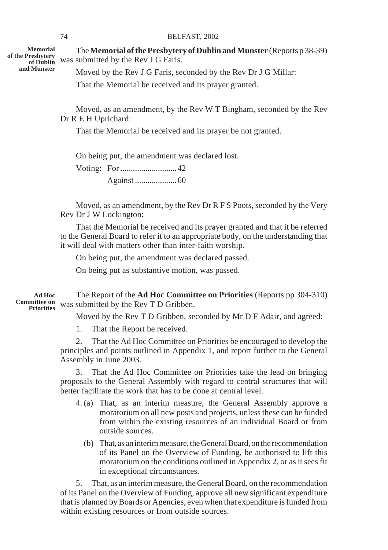#### 74 BELFAST, 2002

**Memorial and Munster**

The **Memorial of the Presbytery of Dublin and Munster** (Reports p 38-39) of the Presbytery<br>
of Dublin was submitted by the Rev J G Faris. Moved by the Rev J G Faris, seconded by the Rev Dr J G Millar:

That the Memorial be received and its prayer granted.

Moved, as an amendment, by the Rev W T Bingham, seconded by the Rev Dr R E H Uprichard:

That the Memorial be received and its prayer be not granted.

On being put, the amendment was declared lost. Voting: For ...........................42 Against ....................60

Moved, as an amendment, by the Rev Dr R F S Poots, seconded by the Very Rev Dr J W Lockington:

That the Memorial be received and its prayer granted and that it be referred to the General Board to refer it to an appropriate body, on the understanding that it will deal with matters other than inter-faith worship.

On being put, the amendment was declared passed.

On being put as substantive motion, was passed.

The Report of the **Ad Hoc Committee on Priorities** (Reports pp 304-310) Committee on was submitted by the Rev T D Gribben. **Ad Hoc Priorities**

Moved by the Rev T D Gribben, seconded by Mr D F Adair, and agreed:

1. That the Report be received.

2. That the Ad Hoc Committee on Priorities be encouraged to develop the principles and points outlined in Appendix 1, and report further to the General Assembly in June 2003.

3. That the Ad Hoc Committee on Priorities take the lead on bringing proposals to the General Assembly with regard to central structures that will better facilitate the work that has to be done at central level.

- 4. (a) That, as an interim measure, the General Assembly approve a moratorium on all new posts and projects, unless these can be funded from within the existing resources of an individual Board or from outside sources.
	- (b) That, as an interim measure, the General Board, on the recommendation of its Panel on the Overview of Funding, be authorised to lift this moratorium on the conditions outlined in Appendix 2, or as it sees fit in exceptional circumstances.

5. That, as an interim measure, the General Board, on the recommendation of its Panel on the Overview of Funding, approve all new significant expenditure that is planned by Boards or Agencies, even when that expenditure is funded from within existing resources or from outside sources.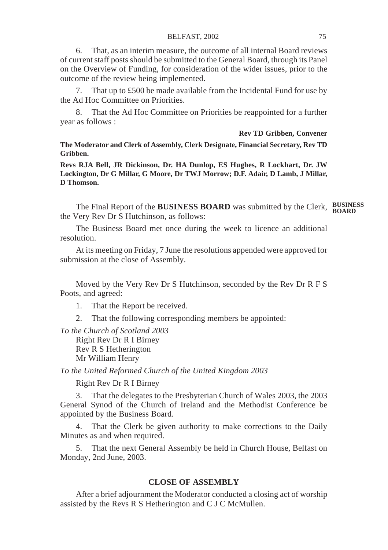6. That, as an interim measure, the outcome of all internal Board reviews of current staff posts should be submitted to the General Board, through its Panel on the Overview of Funding, for consideration of the wider issues, prior to the outcome of the review being implemented.

7. That up to £500 be made available from the Incidental Fund for use by the Ad Hoc Committee on Priorities.

8. That the Ad Hoc Committee on Priorities be reappointed for a further year as follows :

**Rev TD Gribben, Convener**

**The Moderator and Clerk of Assembly, Clerk Designate, Financial Secretary, Rev TD Gribben.**

**Revs RJA Bell, JR Dickinson, Dr. HA Dunlop, ES Hughes, R Lockhart, Dr. JW Lockington, Dr G Millar, G Moore, Dr TWJ Morrow; D.F. Adair, D Lamb, J Millar, D Thomson.**

The Final Report of the **BUSINESS BOARD** was submitted by the Clerk, **BUSINESS BOARD**the Very Rev Dr S Hutchinson, as follows:

The Business Board met once during the week to licence an additional resolution.

At its meeting on Friday, 7 June the resolutions appended were approved for submission at the close of Assembly.

Moved by the Very Rev Dr S Hutchinson, seconded by the Rev Dr R F S Poots, and agreed:

1. That the Report be received.

2. That the following corresponding members be appointed:

*To the Church of Scotland 2003*

Right Rev Dr R I Birney Rev R S Hetherington Mr William Henry

*To the United Reformed Church of the United Kingdom 2003*

Right Rev Dr R I Birney

3. That the delegates to the Presbyterian Church of Wales 2003, the 2003 General Synod of the Church of Ireland and the Methodist Conference be appointed by the Business Board.

4. That the Clerk be given authority to make corrections to the Daily Minutes as and when required.

5. That the next General Assembly be held in Church House, Belfast on Monday, 2nd June, 2003.

### **CLOSE OF ASSEMBLY**

After a brief adjournment the Moderator conducted a closing act of worship assisted by the Revs R S Hetherington and C J C McMullen.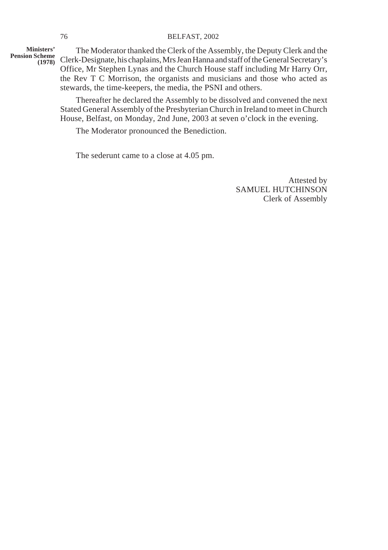#### 76 BELFAST, 2002

**Ministers'**

The Moderator thanked the Clerk of the Assembly, the Deputy Clerk and the Pension Scheme<br>
(1978) Clerk-Designate, his chaplains, Mrs Jean Hanna and staff of the General Secretary's Office, Mr Stephen Lynas and the Church House staff including Mr Harry Orr, the Rev T C Morrison, the organists and musicians and those who acted as stewards, the time-keepers, the media, the PSNI and others.

> Thereafter he declared the Assembly to be dissolved and convened the next Stated General Assembly of the Presbyterian Church in Ireland to meet in Church House, Belfast, on Monday, 2nd June, 2003 at seven o'clock in the evening.

The Moderator pronounced the Benediction.

The sederunt came to a close at 4.05 pm.

Attested by SAMUEL HUTCHINSON Clerk of Assembly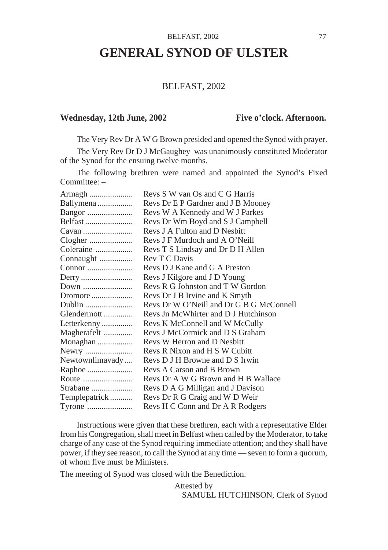#### BELFAST, 2002 77

## **GENERAL SYNOD OF ULSTER**

#### BELFAST, 2002

#### Wednesday, 12th June, 2002 Five o'clock. Afternoon.

The Very Rev Dr A W G Brown presided and opened the Synod with prayer.

The Very Rev Dr D J McGaughey was unanimously constituted Moderator of the Synod for the ensuing twelve months.

The following brethren were named and appointed the Synod's Fixed Committee: –

| Armagh          | Revs S W van Os and C G Harris           |
|-----------------|------------------------------------------|
| Ballymena       | Revs Dr E P Gardner and J B Mooney       |
| Bangor          | Revs W A Kennedy and W J Parkes          |
| Belfast         | Revs Dr Wm Boyd and S J Campbell         |
| Cavan           | Revs J A Fulton and D Nesbitt            |
| Clogher         | Revs J F Murdoch and A O'Neill           |
| Coleraine       | Revs T S Lindsay and Dr D H Allen        |
| Connaught       | Rev T C Davis                            |
| Connor          | Revs D J Kane and G A Preston            |
|                 | Revs J Kilgore and J D Young             |
| Down            | Revs R G Johnston and T W Gordon         |
| Dromore         | Revs Dr J B Irvine and K Smyth           |
| Dublin          | Revs Dr W O'Neill and Dr G B G McConnell |
| Glendermott     | Revs Jn McWhirter and D J Hutchinson     |
| Letterkenny     | Revs K McConnell and W McCully           |
| Magherafelt     | Revs J McCormick and D S Graham          |
| Monaghan        | Revs W Herron and D Nesbitt              |
| Newry           | Revs R Nixon and H S W Cubitt            |
| Newtownlimavady | Revs D J H Browne and D S Irwin          |
| Raphoe          | Revs A Carson and B Brown                |
| Route           | Revs Dr A W G Brown and H B Wallace      |
| Strabane        | Revs D A G Milligan and J Davison        |
| Templepatrick   | Revs Dr R G Craig and W D Weir           |
| Tyrone          | Revs H C Conn and Dr A R Rodgers         |

Instructions were given that these brethren, each with a representative Elder from his Congregation, shall meet in Belfast when called by the Moderator, to take charge of any case of the Synod requiring immediate attention; and they shall have power, if they see reason, to call the Synod at any time — seven to form a quorum, of whom five must be Ministers.

The meeting of Synod was closed with the Benediction.

Attested by SAMUEL HUTCHINSON, Clerk of Synod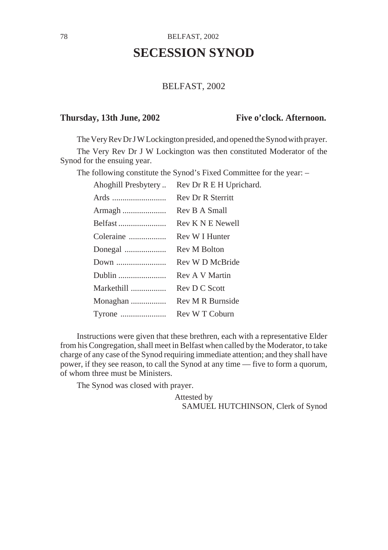# **SECESSION SYNOD**

#### BELFAST, 2002

#### Thursday, 13th June, 2002 Five o'clock. Afternoon.

The Very Rev Dr J W Lockington presided, and opened the Synod with prayer.

The Very Rev Dr J W Lockington was then constituted Moderator of the Synod for the ensuing year.

The following constitute the Synod's Fixed Committee for the year: –

| Ahoghill Presbytery | Rev Dr R E H Uprichard.  |
|---------------------|--------------------------|
|                     | <b>Rev Dr R Sterritt</b> |
| Armagh              | Rev B A Small            |
| Belfast             | Rev K N E Newell         |
| Coleraine           | Rev W I Hunter           |
| Donegal             | Rev M Bolton             |
|                     | Rev W D McBride          |
| Dublin              | Rev A V Martin           |
| Markethill          | Rev D C Scott            |
| Monaghan            | Rev M R Burnside         |
| Tyrone              | Rev W T Coburn           |

Instructions were given that these brethren, each with a representative Elder from his Congregation, shall meet in Belfast when called by the Moderator, to take charge of any case of the Synod requiring immediate attention; and they shall have power, if they see reason, to call the Synod at any time — five to form a quorum, of whom three must be Ministers.

The Synod was closed with prayer.

Attested by SAMUEL HUTCHINSON, Clerk of Synod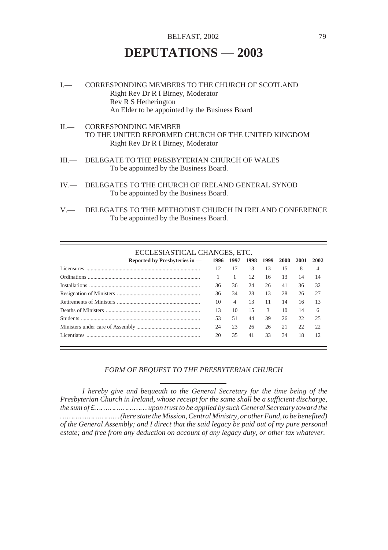## **DEPUTATIONS — 2003**

- I.— CORRESPONDING MEMBERS TO THE CHURCH OF SCOTLAND Right Rev Dr R I Birney, Moderator Rev R S Hetherington An Elder to be appointed by the Business Board
- II.— CORRESPONDING MEMBER TO THE UNITED REFORMED CHURCH OF THE UNITED KINGDOM Right Rev Dr R I Birney, Moderator
- III.— DELEGATE TO THE PRESBYTERIAN CHURCH OF WALES To be appointed by the Business Board.
- IV.— DELEGATES TO THE CHURCH OF IRELAND GENERAL SYNOD To be appointed by the Business Board.
- V.— DELEGATES TO THE METHODIST CHURCH IN IRELAND CONFERENCE To be appointed by the Business Board.

#### ECCLESIASTICAL CHANGES, ETC.

| Reported by Presbyteries in — |    | 1996 1997 1998 1999 |    |    | 2000 | 2001 | 2002 |
|-------------------------------|----|---------------------|----|----|------|------|------|
|                               | 12 | 17                  | 13 | 13 | 15   | 8    |      |
|                               |    |                     | 12 | 16 | 13   | 14   | 14   |
|                               | 36 | 36                  | 24 | 26 | 41   | 36   | 32   |
|                               | 36 | 34                  | 28 | 13 | 28   | 26   | 27   |
|                               | 10 | 4                   | 13 | 11 | 14   | 16   | 13   |
|                               | 13 | 10                  | 15 | 3  | 10   | 14   | 6    |
|                               | 53 | 51                  | 44 | 39 | 26   | 22   | 25   |
|                               | 24 | 23                  | 26 | 26 | 21   | 22   | 22   |
| Licentiates                   | 20 | 35                  | 41 | 33 | 34   | 18   | 12   |
|                               |    |                     |    |    |      |      |      |

#### *FORM OF BEQUEST TO THE PRESBYTERIAN CHURCH*

*I hereby give and bequeath to the General Secretary for the time being of the Presbyterian Church in Ireland, whose receipt for the same shall be a sufficient discharge, the sum of £…………………… upon trust to be applied by such General Secretary toward the ……………………… (here state the Mission, Central Ministry, or other Fund, to be benefited) of the General Assembly; and I direct that the said legacy be paid out of my pure personal estate; and free from any deduction on account of any legacy duty, or other tax whatever.*